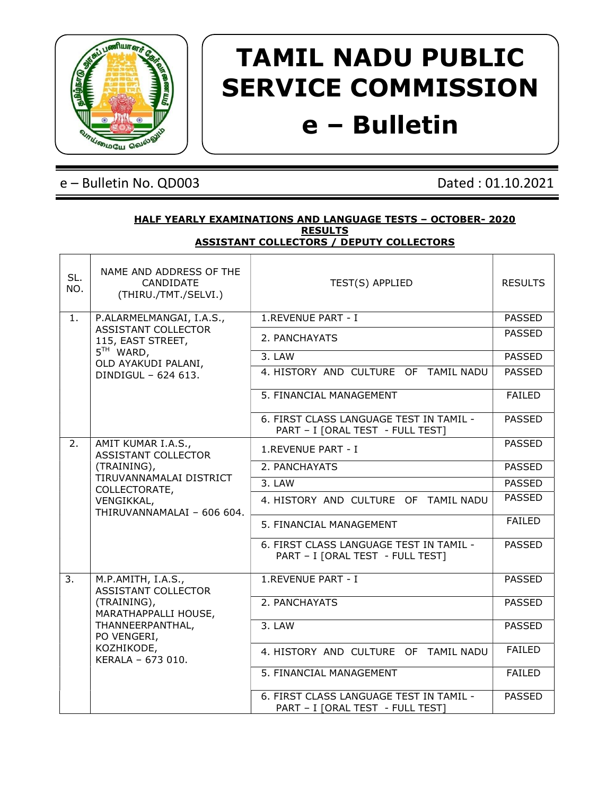

# TAMIL NADU PUBLIC SERVICE COMMISSION e – Bulletin

## e – Bulletin No. QD003 Dated : 01.10.2021

#### HALF YEARLY EXAMINATIONS AND LANGUAGE TESTS – OCTOBER- 2020 **RESULTS** ASSISTANT COLLECTORS / DEPUTY COLLECTORS

| SL.<br>NO. | NAME AND ADDRESS OF THE<br>CANDIDATE<br>(THIRU./TMT./SELVI.) | TEST(S) APPLIED                                                             | <b>RESULTS</b> |  |
|------------|--------------------------------------------------------------|-----------------------------------------------------------------------------|----------------|--|
| 1.         | P.ALARMELMANGAI, I.A.S.,                                     | 1.REVENUE PART - I                                                          | <b>PASSED</b>  |  |
|            | ASSISTANT COLLECTOR<br>115, EAST STREET,                     | 2. PANCHAYATS                                                               | <b>PASSED</b>  |  |
|            | $5TH$ WARD,<br>OLD AYAKUDI PALANI,                           | 3. LAW                                                                      | <b>PASSED</b>  |  |
|            | DINDIGUL - 624 613.                                          | 4. HISTORY AND CULTURE OF TAMIL NADU                                        | <b>PASSED</b>  |  |
|            |                                                              | 5. FINANCIAL MANAGEMENT                                                     | <b>FAILED</b>  |  |
|            |                                                              | 6. FIRST CLASS LANGUAGE TEST IN TAMIL -<br>PART - I [ORAL TEST - FULL TEST] | <b>PASSED</b>  |  |
| 2.         | AMIT KUMAR I.A.S.,<br><b>ASSISTANT COLLECTOR</b>             | 1.REVENUE PART - I                                                          | <b>PASSED</b>  |  |
|            | (TRAINING),                                                  | 2. PANCHAYATS                                                               | PASSED         |  |
|            | TIRUVANNAMALAI DISTRICT<br>COLLECTORATE,                     | 3. LAW                                                                      | <b>PASSED</b>  |  |
|            | VENGIKKAL,<br>THIRUVANNAMALAI - 606 604.                     | 4. HISTORY AND CULTURE OF TAMIL NADU                                        | <b>PASSED</b>  |  |
|            |                                                              | 5. FINANCIAL MANAGEMENT                                                     | <b>FAILED</b>  |  |
|            |                                                              | 6. FIRST CLASS LANGUAGE TEST IN TAMIL -<br>PART - I [ORAL TEST - FULL TEST] | <b>PASSED</b>  |  |
| 3.         | M.P.AMITH, I.A.S.,<br><b>ASSISTANT COLLECTOR</b>             | 1.REVENUE PART - I                                                          | <b>PASSED</b>  |  |
|            | (TRAINING),<br>MARATHAPPALLI HOUSE,                          | 2. PANCHAYATS                                                               | <b>PASSED</b>  |  |
|            | THANNEERPANTHAL,<br>PO VENGERI,                              | 3. LAW                                                                      | <b>PASSED</b>  |  |
|            | KOZHIKODE,<br>KERALA - 673 010.                              | 4. HISTORY AND CULTURE OF TAMIL NADU                                        | <b>FAILED</b>  |  |
|            |                                                              | 5. FINANCIAL MANAGEMENT                                                     | <b>FAILED</b>  |  |
|            |                                                              | 6. FIRST CLASS LANGUAGE TEST IN TAMIL -<br>PART - I [ORAL TEST - FULL TEST] | <b>PASSED</b>  |  |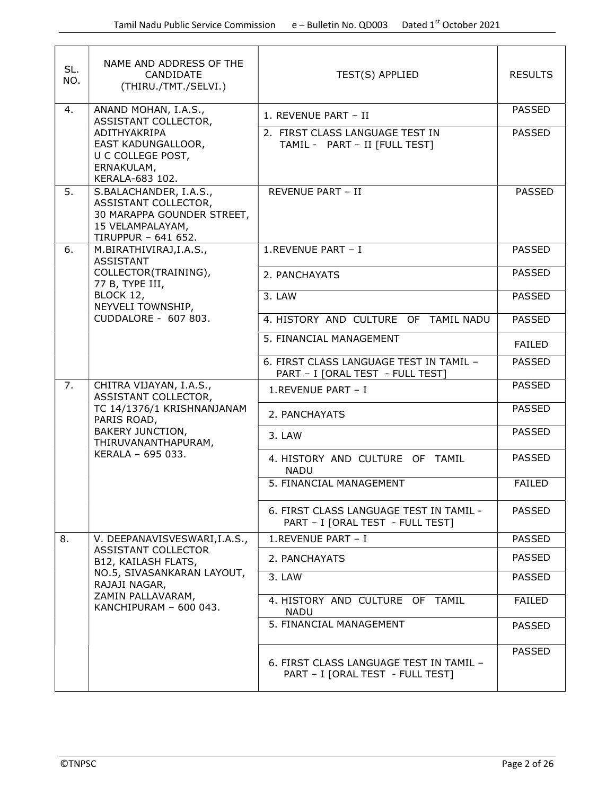| SL.<br>NO. | NAME AND ADDRESS OF THE<br>CANDIDATE<br>(THIRU./TMT./SELVI.)                                                            | TEST(S) APPLIED                                                             | <b>RESULTS</b> |
|------------|-------------------------------------------------------------------------------------------------------------------------|-----------------------------------------------------------------------------|----------------|
| 4.         | ANAND MOHAN, I.A.S.,<br>ASSISTANT COLLECTOR,                                                                            | 1. REVENUE PART - II                                                        | <b>PASSED</b>  |
|            | ADITHYAKRIPA<br>EAST KADUNGALLOOR,<br>U C COLLEGE POST,<br>ERNAKULAM,<br>KERALA-683 102.                                | 2. FIRST CLASS LANGUAGE TEST IN<br>TAMIL - PART - II [FULL TEST]            | <b>PASSED</b>  |
| 5.         | S.BALACHANDER, I.A.S.,<br>ASSISTANT COLLECTOR,<br>30 MARAPPA GOUNDER STREET,<br>15 VELAMPALAYAM,<br>TIRUPPUR - 641 652. | <b>REVENUE PART - II</b>                                                    | <b>PASSED</b>  |
| 6.         | M.BIRATHIVIRAJ, I.A.S.,<br><b>ASSISTANT</b>                                                                             | 1.REVENUE PART - I                                                          | <b>PASSED</b>  |
|            | COLLECTOR(TRAINING),<br>77 B, TYPE III,                                                                                 | 2. PANCHAYATS                                                               | <b>PASSED</b>  |
|            | BLOCK 12,<br>NEYVELI TOWNSHIP,                                                                                          | 3. LAW                                                                      | <b>PASSED</b>  |
|            | CUDDALORE - 607 803.                                                                                                    | 4. HISTORY AND CULTURE OF TAMIL NADU                                        | <b>PASSED</b>  |
|            |                                                                                                                         | 5. FINANCIAL MANAGEMENT                                                     | <b>FAILED</b>  |
|            |                                                                                                                         | 6. FIRST CLASS LANGUAGE TEST IN TAMIL -<br>PART - I [ORAL TEST - FULL TEST] | <b>PASSED</b>  |
| 7.         | CHITRA VIJAYAN, I.A.S.,<br>ASSISTANT COLLECTOR,                                                                         | 1.REVENUE PART - I                                                          | <b>PASSED</b>  |
|            | TC 14/1376/1 KRISHNANJANAM<br>PARIS ROAD,<br><b>BAKERY JUNCTION,</b><br>THIRUVANANTHAPURAM,                             | 2. PANCHAYATS                                                               | <b>PASSED</b>  |
|            |                                                                                                                         | 3. LAW                                                                      | <b>PASSED</b>  |
|            | KERALA - 695 033.                                                                                                       | 4. HISTORY AND CULTURE OF TAMIL<br><b>NADU</b>                              | <b>PASSED</b>  |
|            |                                                                                                                         | 5. FINANCIAL MANAGEMENT                                                     | <b>FAILED</b>  |
|            |                                                                                                                         | 6. FIRST CLASS LANGUAGE TEST IN TAMIL -<br>PART - I [ORAL TEST - FULL TEST] | <b>PASSED</b>  |
| 8.         | V. DEEPANAVISVESWARI, I.A.S.,<br><b>ASSISTANT COLLECTOR</b>                                                             | 1.REVENUE PART - I                                                          | <b>PASSED</b>  |
|            | B12, KAILASH FLATS,                                                                                                     | 2. PANCHAYATS                                                               | <b>PASSED</b>  |
|            | NO.5, SIVASANKARAN LAYOUT,<br>RAJAJI NAGAR,                                                                             | 3. LAW                                                                      | <b>PASSED</b>  |
|            | ZAMIN PALLAVARAM,<br>KANCHIPURAM - 600 043.                                                                             | 4. HISTORY AND CULTURE OF TAMIL<br><b>NADU</b>                              | <b>FAILED</b>  |
|            |                                                                                                                         | 5. FINANCIAL MANAGEMENT                                                     | <b>PASSED</b>  |
|            |                                                                                                                         | 6. FIRST CLASS LANGUAGE TEST IN TAMIL -<br>PART - I [ORAL TEST - FULL TEST] | <b>PASSED</b>  |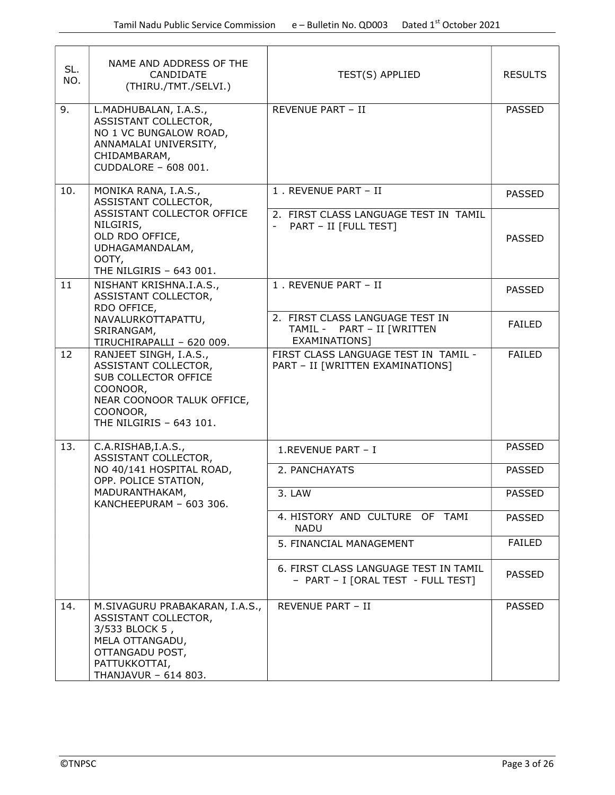| SL.<br>NO. | NAME AND ADDRESS OF THE<br>CANDIDATE<br>(THIRU./TMT./SELVI.)                                                                                            | TEST(S) APPLIED                                                                | <b>RESULTS</b> |
|------------|---------------------------------------------------------------------------------------------------------------------------------------------------------|--------------------------------------------------------------------------------|----------------|
| 9.         | L.MADHUBALAN, I.A.S.,<br>ASSISTANT COLLECTOR,<br>NO 1 VC BUNGALOW ROAD,<br>ANNAMALAI UNIVERSITY,<br>CHIDAMBARAM,<br>CUDDALORE - 608 001.                | REVENUE PART - II                                                              | <b>PASSED</b>  |
| 10.        | MONIKA RANA, I.A.S.,<br>ASSISTANT COLLECTOR,                                                                                                            | 1. REVENUE PART - II                                                           | <b>PASSED</b>  |
|            | ASSISTANT COLLECTOR OFFICE<br>NILGIRIS,<br>OLD RDO OFFICE,<br>UDHAGAMANDALAM,<br>OOTY,<br>THE NILGIRIS - 643 001.                                       | 2. FIRST CLASS LANGUAGE TEST IN TAMIL<br>PART - II [FULL TEST]                 | <b>PASSED</b>  |
| 11         | NISHANT KRISHNA.I.A.S.,<br>ASSISTANT COLLECTOR,<br>RDO OFFICE,                                                                                          | 1. REVENUE PART - II                                                           | <b>PASSED</b>  |
|            | NAVALURKOTTAPATTU,<br>SRIRANGAM,<br>TIRUCHIRAPALLI - 620 009.                                                                                           | 2. FIRST CLASS LANGUAGE TEST IN<br>TAMIL - PART - II [WRITTEN<br>EXAMINATIONS] | <b>FAILED</b>  |
| 12         | RANJEET SINGH, I.A.S.,<br>ASSISTANT COLLECTOR,<br>SUB COLLECTOR OFFICE<br>COONOOR,<br>NEAR COONOOR TALUK OFFICE,<br>COONOOR,<br>THE NILGIRIS - 643 101. | FIRST CLASS LANGUAGE TEST IN TAMIL -<br>PART - II [WRITTEN EXAMINATIONS]       | <b>FAILED</b>  |
| 13.        | C.A.RISHAB, I.A.S.,<br>ASSISTANT COLLECTOR,                                                                                                             | 1.REVENUE PART - I                                                             | <b>PASSED</b>  |
|            | NO 40/141 HOSPITAL ROAD,<br>OPP. POLICE STATION,                                                                                                        | 2. PANCHAYATS                                                                  | <b>PASSED</b>  |
|            | MADURANTHAKAM,<br>KANCHEEPURAM - 603 306.                                                                                                               | 3. LAW                                                                         | <b>PASSED</b>  |
|            |                                                                                                                                                         | 4. HISTORY AND CULTURE OF TAMI<br><b>NADU</b>                                  | PASSED         |
|            |                                                                                                                                                         | 5. FINANCIAL MANAGEMENT                                                        | <b>FAILED</b>  |
|            |                                                                                                                                                         | 6. FIRST CLASS LANGUAGE TEST IN TAMIL<br>- PART - I [ORAL TEST - FULL TEST]    | <b>PASSED</b>  |
| 14.        | M.SIVAGURU PRABAKARAN, I.A.S.,<br>ASSISTANT COLLECTOR,<br>3/533 BLOCK 5,<br>MELA OTTANGADU,<br>OTTANGADU POST,<br>PATTUKKOTTAI,<br>THANJAVUR - 614 803. | <b>REVENUE PART - II</b>                                                       | <b>PASSED</b>  |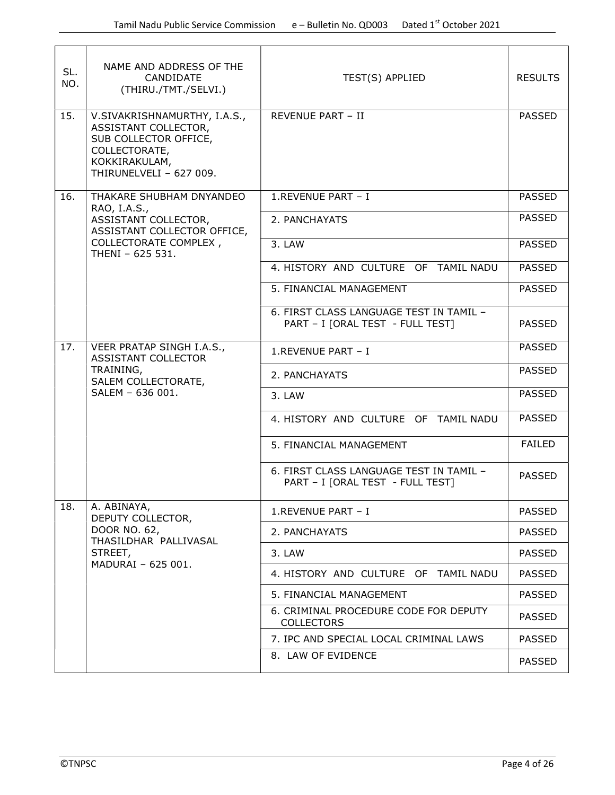| SL.<br>NO. | NAME AND ADDRESS OF THE<br>CANDIDATE<br>(THIRU./TMT./SELVI.)                                                                               | TEST(S) APPLIED                                                             | <b>RESULTS</b> |
|------------|--------------------------------------------------------------------------------------------------------------------------------------------|-----------------------------------------------------------------------------|----------------|
| 15.        | V.SIVAKRISHNAMURTHY, I.A.S.,<br>ASSISTANT COLLECTOR,<br>SUB COLLECTOR OFFICE,<br>COLLECTORATE,<br>KOKKIRAKULAM,<br>THIRUNELVELI - 627 009. | REVENUE PART - II                                                           | <b>PASSED</b>  |
| 16.        | THAKARE SHUBHAM DNYANDEO<br>RAO, I.A.S.,                                                                                                   | 1.REVENUE PART - I                                                          | <b>PASSED</b>  |
|            | ASSISTANT COLLECTOR,<br>ASSISTANT COLLECTOR OFFICE,                                                                                        | 2. PANCHAYATS                                                               | <b>PASSED</b>  |
|            | COLLECTORATE COMPLEX,<br>THENI - 625 531.                                                                                                  | 3. LAW                                                                      | <b>PASSED</b>  |
|            |                                                                                                                                            | 4. HISTORY AND CULTURE OF TAMIL NADU                                        | <b>PASSED</b>  |
|            |                                                                                                                                            | 5. FINANCIAL MANAGEMENT                                                     | <b>PASSED</b>  |
|            |                                                                                                                                            | 6. FIRST CLASS LANGUAGE TEST IN TAMIL -<br>PART - I [ORAL TEST - FULL TEST] | <b>PASSED</b>  |
| 17.        | VEER PRATAP SINGH I.A.S.,<br>ASSISTANT COLLECTOR                                                                                           | 1.REVENUE PART - I                                                          | <b>PASSED</b>  |
|            | TRAINING,<br>SALEM COLLECTORATE,                                                                                                           | 2. PANCHAYATS                                                               | <b>PASSED</b>  |
|            | SALEM - 636 001.                                                                                                                           | 3. LAW                                                                      | <b>PASSED</b>  |
|            |                                                                                                                                            | 4. HISTORY AND CULTURE OF TAMIL NADU                                        | <b>PASSED</b>  |
|            |                                                                                                                                            | 5. FINANCIAL MANAGEMENT                                                     | <b>FAILED</b>  |
|            |                                                                                                                                            | 6. FIRST CLASS LANGUAGE TEST IN TAMIL -<br>PART - I [ORAL TEST - FULL TEST] | <b>PASSED</b>  |
| 18.        | A. ABINAYA,<br>DEPUTY COLLECTOR,                                                                                                           | 1.REVENUE PART - I                                                          | <b>PASSED</b>  |
|            | DOOR NO. 62,<br>THASILDHAR PALLIVASAL                                                                                                      | 2. PANCHAYATS                                                               | <b>PASSED</b>  |
|            | STREET,<br>MADURAI - 625 001.                                                                                                              | 3. LAW                                                                      | <b>PASSED</b>  |
|            |                                                                                                                                            | 4. HISTORY AND CULTURE OF TAMIL NADU                                        | <b>PASSED</b>  |
|            |                                                                                                                                            | 5. FINANCIAL MANAGEMENT                                                     | <b>PASSED</b>  |
|            |                                                                                                                                            | 6. CRIMINAL PROCEDURE CODE FOR DEPUTY<br><b>COLLECTORS</b>                  | <b>PASSED</b>  |
|            |                                                                                                                                            | 7. IPC AND SPECIAL LOCAL CRIMINAL LAWS                                      | <b>PASSED</b>  |
|            |                                                                                                                                            | 8. LAW OF EVIDENCE                                                          | <b>PASSED</b>  |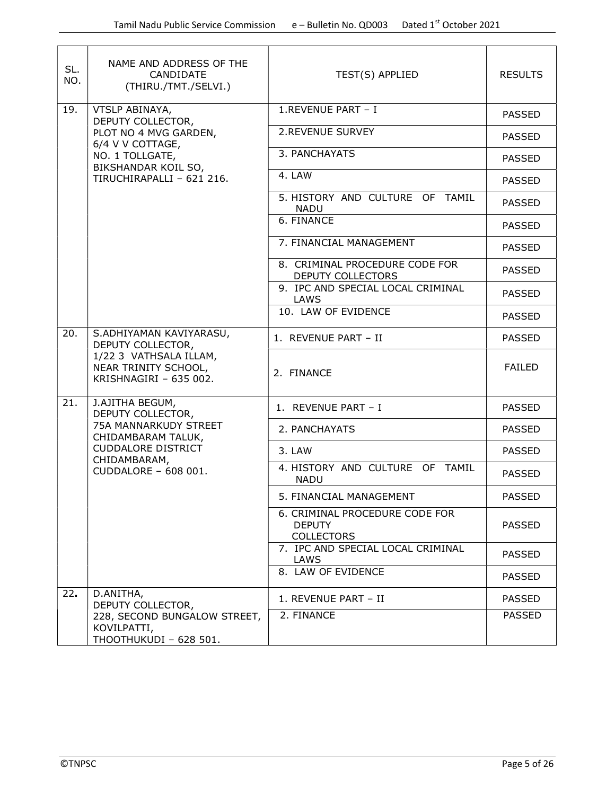| SL.<br>NO.                                                               | NAME AND ADDRESS OF THE<br>CANDIDATE<br>(THIRU./TMT./SELVI.)          | TEST(S) APPLIED                                                      | <b>RESULTS</b> |
|--------------------------------------------------------------------------|-----------------------------------------------------------------------|----------------------------------------------------------------------|----------------|
| 19.                                                                      | VTSLP ABINAYA,<br>DEPUTY COLLECTOR,                                   | 1.REVENUE PART - I                                                   | <b>PASSED</b>  |
|                                                                          | PLOT NO 4 MVG GARDEN,<br>6/4 V V COTTAGE,                             | 2. REVENUE SURVEY                                                    | <b>PASSED</b>  |
|                                                                          | NO. 1 TOLLGATE,<br>BIKSHANDAR KOIL SO,                                | 3. PANCHAYATS                                                        | <b>PASSED</b>  |
|                                                                          | TIRUCHIRAPALLI - 621 216.                                             | 4. LAW                                                               | <b>PASSED</b>  |
|                                                                          |                                                                       | 5. HISTORY AND CULTURE OF TAMIL<br><b>NADU</b>                       | <b>PASSED</b>  |
|                                                                          |                                                                       | 6. FINANCE                                                           | <b>PASSED</b>  |
|                                                                          |                                                                       | 7. FINANCIAL MANAGEMENT                                              | <b>PASSED</b>  |
|                                                                          |                                                                       | 8. CRIMINAL PROCEDURE CODE FOR<br>DEPUTY COLLECTORS                  | <b>PASSED</b>  |
|                                                                          |                                                                       | 9. IPC AND SPECIAL LOCAL CRIMINAL<br>LAWS                            | <b>PASSED</b>  |
|                                                                          |                                                                       | 10. LAW OF EVIDENCE                                                  | <b>PASSED</b>  |
| 20.                                                                      | S.ADHIYAMAN KAVIYARASU,<br>DEPUTY COLLECTOR,                          | 1. REVENUE PART - II                                                 | <b>PASSED</b>  |
| 1/22 3 VATHSALA ILLAM,<br>NEAR TRINITY SCHOOL,<br>KRISHNAGIRI - 635 002. |                                                                       | 2. FINANCE                                                           | <b>FAILED</b>  |
| 21.                                                                      | J.AJITHA BEGUM,<br>DEPUTY COLLECTOR,                                  | 1. REVENUE PART - I                                                  | <b>PASSED</b>  |
|                                                                          | 75A MANNARKUDY STREET<br>CHIDAMBARAM TALUK,                           | 2. PANCHAYATS                                                        | <b>PASSED</b>  |
|                                                                          | <b>CUDDALORE DISTRICT</b><br>CHIDAMBARAM,<br>CUDDALORE - 608 001.     | 3. LAW                                                               | <b>PASSED</b>  |
|                                                                          |                                                                       | 4. HISTORY AND CULTURE OF TAMIL<br><b>NADU</b>                       | <b>PASSED</b>  |
|                                                                          |                                                                       | 5. FINANCIAL MANAGEMENT                                              | <b>PASSED</b>  |
|                                                                          |                                                                       | 6. CRIMINAL PROCEDURE CODE FOR<br><b>DEPUTY</b><br><b>COLLECTORS</b> | <b>PASSED</b>  |
|                                                                          |                                                                       | 7. IPC AND SPECIAL LOCAL CRIMINAL<br>LAWS                            | <b>PASSED</b>  |
|                                                                          |                                                                       | 8. LAW OF EVIDENCE                                                   | <b>PASSED</b>  |
| 22.                                                                      | D.ANITHA,<br>DEPUTY COLLECTOR,                                        | 1. REVENUE PART - II                                                 | <b>PASSED</b>  |
|                                                                          | 228, SECOND BUNGALOW STREET,<br>KOVILPATTI,<br>THOOTHUKUDI - 628 501. | 2. FINANCE                                                           | <b>PASSED</b>  |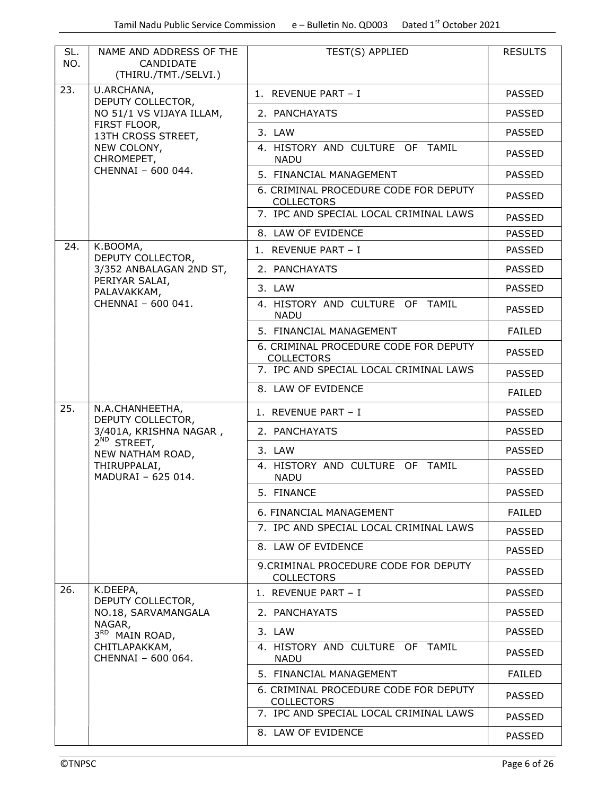| SL.<br>NO. | NAME AND ADDRESS OF THE<br>CANDIDATE<br>(THIRU./TMT./SELVI.) | TEST(S) APPLIED                                            | <b>RESULTS</b> |
|------------|--------------------------------------------------------------|------------------------------------------------------------|----------------|
| 23.        | U.ARCHANA,<br>DEPUTY COLLECTOR,                              | 1. REVENUE PART - I                                        | <b>PASSED</b>  |
|            | NO 51/1 VS VIJAYA ILLAM,                                     | 2. PANCHAYATS                                              | <b>PASSED</b>  |
|            | FIRST FLOOR,<br>13TH CROSS STREET,                           | 3. LAW                                                     | <b>PASSED</b>  |
|            | NEW COLONY,<br>CHROMEPET,                                    | 4. HISTORY AND CULTURE OF TAMIL<br><b>NADU</b>             | <b>PASSED</b>  |
|            | CHENNAI - 600 044.                                           | 5. FINANCIAL MANAGEMENT                                    | <b>PASSED</b>  |
|            |                                                              | 6. CRIMINAL PROCEDURE CODE FOR DEPUTY<br><b>COLLECTORS</b> | <b>PASSED</b>  |
|            |                                                              | 7. IPC AND SPECIAL LOCAL CRIMINAL LAWS                     | <b>PASSED</b>  |
|            |                                                              | 8. LAW OF EVIDENCE                                         | <b>PASSED</b>  |
| 24.        | K.BOOMA,<br>DEPUTY COLLECTOR,                                | 1. REVENUE PART - I                                        | <b>PASSED</b>  |
|            | 3/352 ANBALAGAN 2ND ST,                                      | 2. PANCHAYATS                                              | <b>PASSED</b>  |
|            | PERIYAR SALAI,<br>PALAVAKKAM,                                | 3. LAW                                                     | <b>PASSED</b>  |
|            | CHENNAI - 600 041.                                           | 4. HISTORY AND CULTURE OF TAMIL<br><b>NADU</b>             | <b>PASSED</b>  |
|            |                                                              | 5. FINANCIAL MANAGEMENT                                    | <b>FAILED</b>  |
|            |                                                              | 6. CRIMINAL PROCEDURE CODE FOR DEPUTY<br><b>COLLECTORS</b> | <b>PASSED</b>  |
|            |                                                              | 7. IPC AND SPECIAL LOCAL CRIMINAL LAWS                     | <b>PASSED</b>  |
|            |                                                              | 8. LAW OF EVIDENCE                                         | <b>FAILED</b>  |
| 25.        | N.A.CHANHEETHA,<br>DEPUTY COLLECTOR,                         | 1. REVENUE PART - I                                        | <b>PASSED</b>  |
|            | 3/401A, KRISHNA NAGAR,                                       | 2. PANCHAYATS                                              | <b>PASSED</b>  |
|            | $2^{ND}$ STREET,<br>NEW NATHAM ROAD,                         | 3. LAW                                                     | <b>PASSED</b>  |
|            | THIRUPPALAI,<br>MADURAI - 625 014.                           | 4. HISTORY AND CULTURE OF TAMIL<br><b>NADU</b>             | <b>PASSED</b>  |
|            |                                                              | 5. FINANCE                                                 | <b>PASSED</b>  |
|            |                                                              | 6. FINANCIAL MANAGEMENT                                    | <b>FAILED</b>  |
|            |                                                              | 7. IPC AND SPECIAL LOCAL CRIMINAL LAWS                     | <b>PASSED</b>  |
|            |                                                              | 8. LAW OF EVIDENCE                                         | <b>PASSED</b>  |
|            |                                                              | 9.CRIMINAL PROCEDURE CODE FOR DEPUTY<br><b>COLLECTORS</b>  | <b>PASSED</b>  |
| 26.        | K.DEEPA,<br>DEPUTY COLLECTOR,                                | 1. REVENUE PART - I                                        | <b>PASSED</b>  |
|            | NO.18, SARVAMANGALA                                          | 2. PANCHAYATS                                              | <b>PASSED</b>  |
|            | NAGAR,<br>3RD MAIN ROAD,                                     | 3. LAW                                                     | <b>PASSED</b>  |
|            | CHITLAPAKKAM,<br>CHENNAI - 600 064.                          | 4. HISTORY AND CULTURE OF TAMIL<br><b>NADU</b>             | <b>PASSED</b>  |
|            |                                                              | 5. FINANCIAL MANAGEMENT                                    | <b>FAILED</b>  |
|            |                                                              | 6. CRIMINAL PROCEDURE CODE FOR DEPUTY<br><b>COLLECTORS</b> | <b>PASSED</b>  |
|            |                                                              | 7. IPC AND SPECIAL LOCAL CRIMINAL LAWS                     | <b>PASSED</b>  |
|            |                                                              | 8. LAW OF EVIDENCE                                         | <b>PASSED</b>  |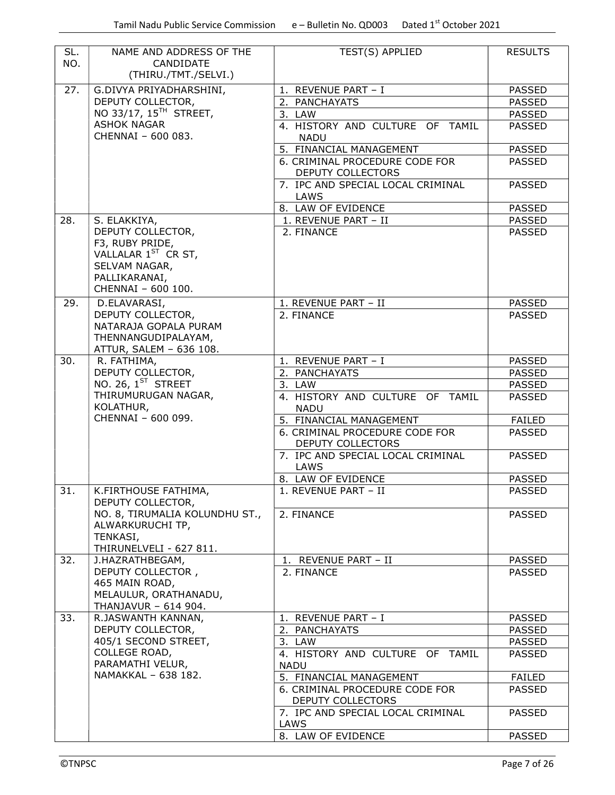| SL.<br>NO. | NAME AND ADDRESS OF THE<br>CANDIDATE<br>(THIRU./TMT./SELVI.)                                                                    | TEST(S) APPLIED                                     | <b>RESULTS</b> |
|------------|---------------------------------------------------------------------------------------------------------------------------------|-----------------------------------------------------|----------------|
| 27.        | G.DIVYA PRIYADHARSHINI,                                                                                                         | 1. REVENUE PART - I                                 | <b>PASSED</b>  |
|            | DEPUTY COLLECTOR,                                                                                                               | 2. PANCHAYATS                                       | <b>PASSED</b>  |
|            | NO 33/17, 15 <sup>TH</sup> STREET,                                                                                              | 3. LAW                                              | <b>PASSED</b>  |
|            | <b>ASHOK NAGAR</b><br>CHENNAI - 600 083.                                                                                        | 4. HISTORY AND CULTURE OF TAMIL<br><b>NADU</b>      | <b>PASSED</b>  |
|            |                                                                                                                                 | 5. FINANCIAL MANAGEMENT                             | <b>PASSED</b>  |
|            |                                                                                                                                 | 6. CRIMINAL PROCEDURE CODE FOR<br>DEPUTY COLLECTORS | <b>PASSED</b>  |
|            |                                                                                                                                 | 7. IPC AND SPECIAL LOCAL CRIMINAL<br><b>LAWS</b>    | <b>PASSED</b>  |
|            |                                                                                                                                 | 8. LAW OF EVIDENCE                                  | <b>PASSED</b>  |
| 28.        | S. ELAKKIYA,                                                                                                                    | 1. REVENUE PART - II                                | <b>PASSED</b>  |
|            | DEPUTY COLLECTOR,<br>F3, RUBY PRIDE,<br>VALLALAR 1 <sup>ST</sup> CR ST,<br>SELVAM NAGAR,<br>PALLIKARANAI,<br>CHENNAI - 600 100. | 2. FINANCE                                          | <b>PASSED</b>  |
| 29.        | D.ELAVARASI,                                                                                                                    | 1. REVENUE PART - II                                | <b>PASSED</b>  |
|            | DEPUTY COLLECTOR,<br>NATARAJA GOPALA PURAM<br>THENNANGUDIPALAYAM,<br>ATTUR, SALEM - 636 108.                                    | 2. FINANCE                                          | <b>PASSED</b>  |
| 30.        | R. FATHIMA,                                                                                                                     | 1. REVENUE PART - I                                 | <b>PASSED</b>  |
|            | DEPUTY COLLECTOR,                                                                                                               | 2. PANCHAYATS                                       | <b>PASSED</b>  |
|            | NO. 26, $1ST$ STREET                                                                                                            | 3. LAW                                              | <b>PASSED</b>  |
|            | THIRUMURUGAN NAGAR,<br>KOLATHUR,                                                                                                | 4. HISTORY AND CULTURE OF TAMIL<br><b>NADU</b>      | <b>PASSED</b>  |
|            | CHENNAI - 600 099.                                                                                                              | 5. FINANCIAL MANAGEMENT                             | <b>FAILED</b>  |
|            |                                                                                                                                 | 6. CRIMINAL PROCEDURE CODE FOR<br>DEPUTY COLLECTORS | <b>PASSED</b>  |
|            |                                                                                                                                 | 7. IPC AND SPECIAL LOCAL CRIMINAL<br>LAWS           | <b>PASSED</b>  |
|            |                                                                                                                                 | 8. LAW OF EVIDENCE                                  | <b>PASSED</b>  |
| 31.        | K.FIRTHOUSE FATHIMA,<br>DEPUTY COLLECTOR,                                                                                       | 1. REVENUE PART - II                                | <b>PASSED</b>  |
|            | NO. 8, TIRUMALIA KOLUNDHU ST.,<br>ALWARKURUCHI TP,<br>TENKASI,<br>THIRUNELVELI - 627 811.                                       | 2. FINANCE                                          | <b>PASSED</b>  |
| 32.        | J.HAZRATHBEGAM,                                                                                                                 | 1. REVENUE PART - II                                | <b>PASSED</b>  |
|            | DEPUTY COLLECTOR,<br>465 MAIN ROAD,<br>MELAULUR, ORATHANADU,<br>THANJAVUR - 614 904.                                            | 2. FINANCE                                          | <b>PASSED</b>  |
| 33.        | R.JASWANTH KANNAN,                                                                                                              | 1. REVENUE PART - I                                 | <b>PASSED</b>  |
|            | DEPUTY COLLECTOR,                                                                                                               | 2. PANCHAYATS                                       | <b>PASSED</b>  |
|            | 405/1 SECOND STREET,                                                                                                            | 3. LAW                                              | <b>PASSED</b>  |
|            | COLLEGE ROAD,<br>PARAMATHI VELUR,                                                                                               | 4. HISTORY AND CULTURE OF TAMIL<br><b>NADU</b>      | <b>PASSED</b>  |
|            | NAMAKKAL - 638 182.                                                                                                             | 5. FINANCIAL MANAGEMENT                             | <b>FAILED</b>  |
|            |                                                                                                                                 | 6. CRIMINAL PROCEDURE CODE FOR<br>DEPUTY COLLECTORS | <b>PASSED</b>  |
|            |                                                                                                                                 | 7. IPC AND SPECIAL LOCAL CRIMINAL<br>LAWS           | <b>PASSED</b>  |
|            |                                                                                                                                 | 8. LAW OF EVIDENCE                                  | <b>PASSED</b>  |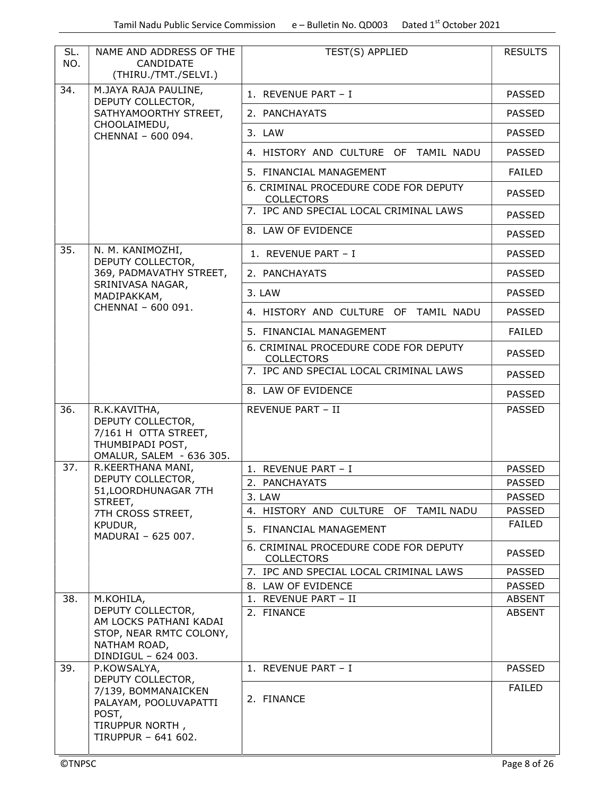| SL.<br>NO. | NAME AND ADDRESS OF THE<br>CANDIDATE<br>(THIRU./TMT./SELVI.)                                                  | TEST(S) APPLIED                                            | <b>RESULTS</b> |
|------------|---------------------------------------------------------------------------------------------------------------|------------------------------------------------------------|----------------|
| 34.        | M.JAYA RAJA PAULINE,<br>DEPUTY COLLECTOR,                                                                     | 1. REVENUE PART - I                                        | <b>PASSED</b>  |
|            | SATHYAMOORTHY STREET,                                                                                         | 2. PANCHAYATS                                              | <b>PASSED</b>  |
|            | CHOOLAIMEDU,<br>CHENNAI - 600 094.                                                                            | 3. LAW                                                     | <b>PASSED</b>  |
|            |                                                                                                               | 4. HISTORY AND CULTURE OF TAMIL NADU                       | <b>PASSED</b>  |
|            |                                                                                                               | 5. FINANCIAL MANAGEMENT                                    | <b>FAILED</b>  |
|            |                                                                                                               | 6. CRIMINAL PROCEDURE CODE FOR DEPUTY<br><b>COLLECTORS</b> | <b>PASSED</b>  |
|            |                                                                                                               | 7. IPC AND SPECIAL LOCAL CRIMINAL LAWS                     | <b>PASSED</b>  |
|            |                                                                                                               | 8. LAW OF EVIDENCE                                         | <b>PASSED</b>  |
| 35.        | N. M. KANIMOZHI,<br>DEPUTY COLLECTOR,                                                                         | 1. REVENUE PART - I                                        | <b>PASSED</b>  |
|            | 369, PADMAVATHY STREET,                                                                                       | 2. PANCHAYATS                                              | <b>PASSED</b>  |
|            | SRINIVASA NAGAR,<br>MADIPAKKAM,                                                                               | 3. LAW                                                     | <b>PASSED</b>  |
|            | CHENNAI - 600 091.                                                                                            | 4. HISTORY AND CULTURE OF TAMIL NADU                       | <b>PASSED</b>  |
|            |                                                                                                               | 5. FINANCIAL MANAGEMENT                                    | <b>FAILED</b>  |
|            |                                                                                                               | 6. CRIMINAL PROCEDURE CODE FOR DEPUTY<br><b>COLLECTORS</b> | <b>PASSED</b>  |
|            |                                                                                                               | 7. IPC AND SPECIAL LOCAL CRIMINAL LAWS                     | <b>PASSED</b>  |
|            |                                                                                                               | 8. LAW OF EVIDENCE                                         | <b>PASSED</b>  |
| 36.        | R.K.KAVITHA,<br>DEPUTY COLLECTOR,<br>7/161 H OTTA STREET,<br>THUMBIPADI POST,<br>OMALUR, SALEM - 636 305.     | REVENUE PART - II                                          | <b>PASSED</b>  |
| 37.        | R.KEERTHANA MANI,                                                                                             | 1. REVENUE PART - I                                        | <b>PASSED</b>  |
|            | DEPUTY COLLECTOR,<br>51, LOORDHUNAGAR 7TH                                                                     | 2. PANCHAYATS                                              | <b>PASSED</b>  |
|            | STREET,                                                                                                       | 3. LAW                                                     | <b>PASSED</b>  |
|            | 7TH CROSS STREET,                                                                                             | 4. HISTORY AND CULTURE OF TAMIL NADU                       | <b>PASSED</b>  |
|            | KPUDUR,<br>MADURAI - 625 007.                                                                                 | 5. FINANCIAL MANAGEMENT                                    | <b>FAILED</b>  |
|            |                                                                                                               | 6. CRIMINAL PROCEDURE CODE FOR DEPUTY<br><b>COLLECTORS</b> | <b>PASSED</b>  |
|            |                                                                                                               | 7. IPC AND SPECIAL LOCAL CRIMINAL LAWS                     | <b>PASSED</b>  |
|            |                                                                                                               | 8. LAW OF EVIDENCE                                         | <b>PASSED</b>  |
| 38.        | M.KOHILA,                                                                                                     | 1. REVENUE PART - II                                       | <b>ABSENT</b>  |
|            | DEPUTY COLLECTOR,<br>AM LOCKS PATHANI KADAI<br>STOP, NEAR RMTC COLONY,<br>NATHAM ROAD,<br>DINDIGUL - 624 003. | 2. FINANCE                                                 | <b>ABSENT</b>  |
| 39.        | P.KOWSALYA,<br>DEPUTY COLLECTOR,                                                                              | 1. REVENUE PART - I                                        | <b>PASSED</b>  |
|            | 7/139, BOMMANAICKEN<br>PALAYAM, POOLUVAPATTI<br>POST,<br>TIRUPPUR NORTH,<br>TIRUPPUR - 641 602.               | 2. FINANCE                                                 | <b>FAILED</b>  |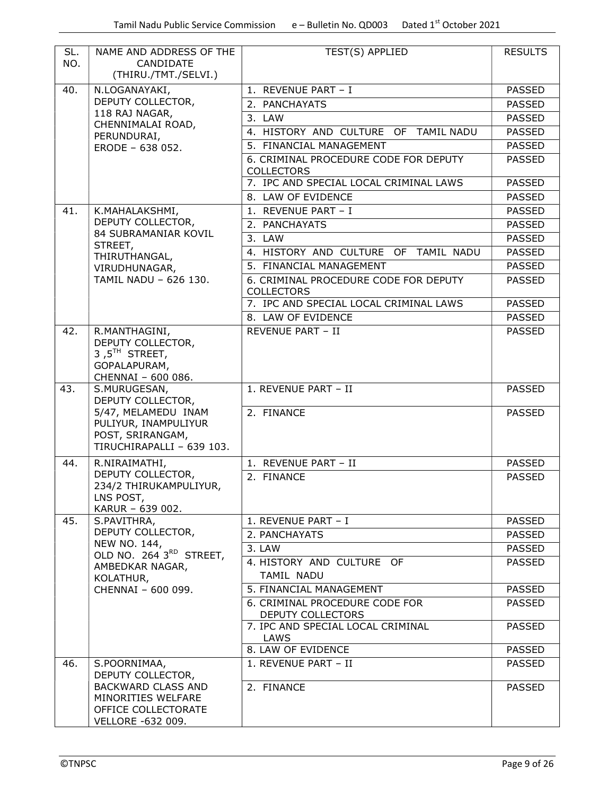| SL.<br>NO. | NAME AND ADDRESS OF THE<br>CANDIDATE<br>(THIRU./TMT./SELVI.)                                 | TEST(S) APPLIED                                            | <b>RESULTS</b> |
|------------|----------------------------------------------------------------------------------------------|------------------------------------------------------------|----------------|
| 40.        | N.LOGANAYAKI,                                                                                | 1. REVENUE PART - I                                        | <b>PASSED</b>  |
|            | DEPUTY COLLECTOR,                                                                            | 2. PANCHAYATS                                              | <b>PASSED</b>  |
|            | 118 RAJ NAGAR,<br>CHENNIMALAI ROAD,                                                          | 3. LAW                                                     | <b>PASSED</b>  |
|            | PERUNDURAI,                                                                                  | 4. HISTORY AND CULTURE OF TAMIL NADU                       | <b>PASSED</b>  |
|            | ERODE - 638 052.                                                                             | 5. FINANCIAL MANAGEMENT                                    | <b>PASSED</b>  |
|            |                                                                                              | 6. CRIMINAL PROCEDURE CODE FOR DEPUTY<br><b>COLLECTORS</b> | <b>PASSED</b>  |
|            |                                                                                              | 7. IPC AND SPECIAL LOCAL CRIMINAL LAWS                     | <b>PASSED</b>  |
|            |                                                                                              | 8. LAW OF EVIDENCE                                         | <b>PASSED</b>  |
| 41.        | K.MAHALAKSHMI,                                                                               | 1. REVENUE PART - I                                        | <b>PASSED</b>  |
|            | DEPUTY COLLECTOR,                                                                            | 2. PANCHAYATS                                              | <b>PASSED</b>  |
|            | 84 SUBRAMANIAR KOVIL<br>STREET,                                                              | 3. LAW                                                     | <b>PASSED</b>  |
|            | THIRUTHANGAL,                                                                                | 4. HISTORY AND CULTURE OF TAMIL NADU                       | <b>PASSED</b>  |
|            | VIRUDHUNAGAR,                                                                                | 5. FINANCIAL MANAGEMENT                                    | <b>PASSED</b>  |
|            | TAMIL NADU - 626 130.                                                                        | 6. CRIMINAL PROCEDURE CODE FOR DEPUTY<br><b>COLLECTORS</b> | <b>PASSED</b>  |
|            |                                                                                              | 7. IPC AND SPECIAL LOCAL CRIMINAL LAWS                     | <b>PASSED</b>  |
|            |                                                                                              | 8. LAW OF EVIDENCE                                         | <b>PASSED</b>  |
| 42.        | R.MANTHAGINI,                                                                                | <b>REVENUE PART - II</b>                                   | <b>PASSED</b>  |
|            | DEPUTY COLLECTOR,<br>3,5 <sup>TH</sup> STREET,<br>GOPALAPURAM,<br>CHENNAI - 600 086.         |                                                            |                |
| 43.        | S.MURUGESAN,<br>DEPUTY COLLECTOR,                                                            | 1. REVENUE PART - II                                       | <b>PASSED</b>  |
|            | 5/47, MELAMEDU INAM<br>PULIYUR, INAMPULIYUR<br>POST, SRIRANGAM,<br>TIRUCHIRAPALLI - 639 103. | 2. FINANCE                                                 | <b>PASSED</b>  |
| 44.        | R.NIRAIMATHI,                                                                                | 1. REVENUE PART - II                                       | <b>PASSED</b>  |
|            | DEPUTY COLLECTOR,<br>234/2 THIRUKAMPULIYUR,<br>LNS POST,<br>KARUR - 639 002.                 | 2. FINANCE                                                 | <b>PASSED</b>  |
| 45.        | S.PAVITHRA,                                                                                  | 1. REVENUE PART - I                                        | <b>PASSED</b>  |
|            | DEPUTY COLLECTOR,                                                                            | 2. PANCHAYATS                                              | <b>PASSED</b>  |
|            | NEW NO. 144,                                                                                 | 3. LAW                                                     | <b>PASSED</b>  |
|            | OLD NO. 264 3RD STREET,<br>AMBEDKAR NAGAR,                                                   | 4. HISTORY AND CULTURE OF<br>TAMIL NADU                    | <b>PASSED</b>  |
|            | KOLATHUR,<br>CHENNAI - 600 099.                                                              | 5. FINANCIAL MANAGEMENT                                    | <b>PASSED</b>  |
|            |                                                                                              | 6. CRIMINAL PROCEDURE CODE FOR                             | <b>PASSED</b>  |
|            |                                                                                              | DEPUTY COLLECTORS                                          |                |
|            |                                                                                              | 7. IPC AND SPECIAL LOCAL CRIMINAL<br>LAWS                  | <b>PASSED</b>  |
|            |                                                                                              | 8. LAW OF EVIDENCE                                         | <b>PASSED</b>  |
| 46.        | S.POORNIMAA,<br>DEPUTY COLLECTOR,                                                            | 1. REVENUE PART - II                                       | <b>PASSED</b>  |
|            | <b>BACKWARD CLASS AND</b><br>MINORITIES WELFARE<br>OFFICE COLLECTORATE<br>VELLORE -632 009.  | 2. FINANCE                                                 | <b>PASSED</b>  |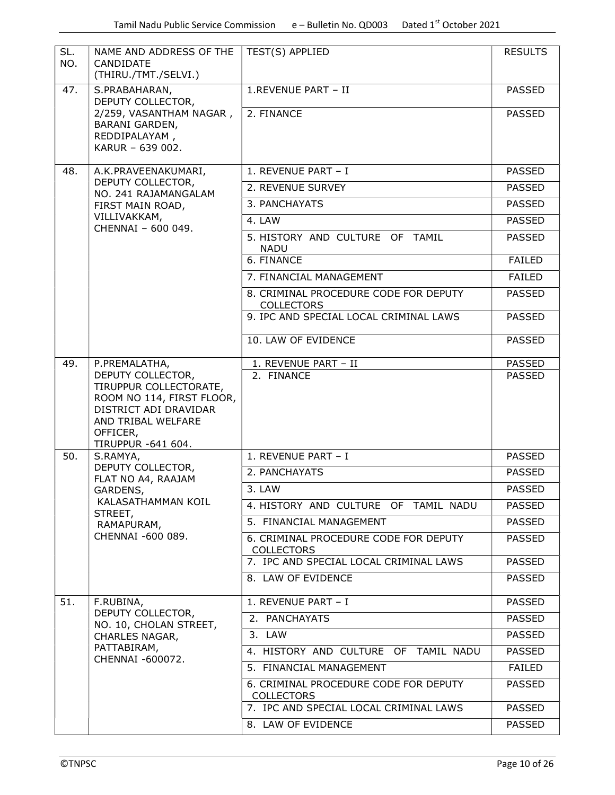| SL.<br>NO. | NAME AND ADDRESS OF THE<br>CANDIDATE<br>(THIRU./TMT./SELVI.)                                                                                              | TEST(S) APPLIED                                            | <b>RESULTS</b> |
|------------|-----------------------------------------------------------------------------------------------------------------------------------------------------------|------------------------------------------------------------|----------------|
| 47.        | S.PRABAHARAN,<br>DEPUTY COLLECTOR,                                                                                                                        | 1.REVENUE PART - II                                        | <b>PASSED</b>  |
|            | 2/259, VASANTHAM NAGAR,<br><b>BARANI GARDEN,</b><br>REDDIPALAYAM,<br>KARUR - 639 002.                                                                     | 2. FINANCE                                                 | <b>PASSED</b>  |
| 48.        | A.K.PRAVEENAKUMARI,                                                                                                                                       | 1. REVENUE PART - I                                        | <b>PASSED</b>  |
|            | DEPUTY COLLECTOR,<br>NO. 241 RAJAMANGALAM                                                                                                                 | 2. REVENUE SURVEY                                          | <b>PASSED</b>  |
|            | FIRST MAIN ROAD,                                                                                                                                          | 3. PANCHAYATS                                              | <b>PASSED</b>  |
|            | VILLIVAKKAM,<br>CHENNAI - 600 049.                                                                                                                        | 4. LAW                                                     | <b>PASSED</b>  |
|            |                                                                                                                                                           | 5. HISTORY AND CULTURE OF TAMIL<br><b>NADU</b>             | <b>PASSED</b>  |
|            |                                                                                                                                                           | 6. FINANCE                                                 | <b>FAILED</b>  |
|            |                                                                                                                                                           | 7. FINANCIAL MANAGEMENT                                    | <b>FAILED</b>  |
|            |                                                                                                                                                           | 8. CRIMINAL PROCEDURE CODE FOR DEPUTY<br><b>COLLECTORS</b> | <b>PASSED</b>  |
|            |                                                                                                                                                           | 9. IPC AND SPECIAL LOCAL CRIMINAL LAWS                     | <b>PASSED</b>  |
|            |                                                                                                                                                           | 10. LAW OF EVIDENCE                                        | <b>PASSED</b>  |
| 49.        | P.PREMALATHA,                                                                                                                                             | 1. REVENUE PART - II                                       | <b>PASSED</b>  |
|            | DEPUTY COLLECTOR,<br>TIRUPPUR COLLECTORATE,<br>ROOM NO 114, FIRST FLOOR,<br>DISTRICT ADI DRAVIDAR<br>AND TRIBAL WELFARE<br>OFFICER,<br>TIRUPPUR -641 604. | 2. FINANCE                                                 | <b>PASSED</b>  |
| 50.        | S.RAMYA,                                                                                                                                                  | 1. REVENUE PART - I                                        | <b>PASSED</b>  |
|            | DEPUTY COLLECTOR,<br>FLAT NO A4, RAAJAM                                                                                                                   | 2. PANCHAYATS                                              | <b>PASSED</b>  |
|            | GARDENS,                                                                                                                                                  | 3. LAW                                                     | <b>PASSED</b>  |
|            | KALASATHAMMAN KOIL<br>STREET,<br>RAMAPURAM,<br>CHENNAI -600 089.                                                                                          | 4. HISTORY AND CULTURE OF TAMIL NADU                       | <b>PASSED</b>  |
|            |                                                                                                                                                           | 5. FINANCIAL MANAGEMENT                                    | <b>PASSED</b>  |
|            |                                                                                                                                                           | 6. CRIMINAL PROCEDURE CODE FOR DEPUTY<br><b>COLLECTORS</b> | <b>PASSED</b>  |
|            |                                                                                                                                                           | 7. IPC AND SPECIAL LOCAL CRIMINAL LAWS                     | <b>PASSED</b>  |
|            |                                                                                                                                                           | 8. LAW OF EVIDENCE                                         | <b>PASSED</b>  |
| 51.        | F.RUBINA,<br>DEPUTY COLLECTOR,                                                                                                                            | 1. REVENUE PART - I                                        | <b>PASSED</b>  |
|            | NO. 10, CHOLAN STREET,                                                                                                                                    | 2. PANCHAYATS                                              | <b>PASSED</b>  |
|            | CHARLES NAGAR,                                                                                                                                            | 3. LAW                                                     | <b>PASSED</b>  |
|            | PATTABIRAM,<br>CHENNAI -600072.                                                                                                                           | 4. HISTORY AND CULTURE OF TAMIL NADU                       | <b>PASSED</b>  |
|            |                                                                                                                                                           | 5. FINANCIAL MANAGEMENT                                    | <b>FAILED</b>  |
|            |                                                                                                                                                           | 6. CRIMINAL PROCEDURE CODE FOR DEPUTY<br><b>COLLECTORS</b> | <b>PASSED</b>  |
|            |                                                                                                                                                           | 7. IPC AND SPECIAL LOCAL CRIMINAL LAWS                     | <b>PASSED</b>  |
|            |                                                                                                                                                           | 8. LAW OF EVIDENCE                                         | <b>PASSED</b>  |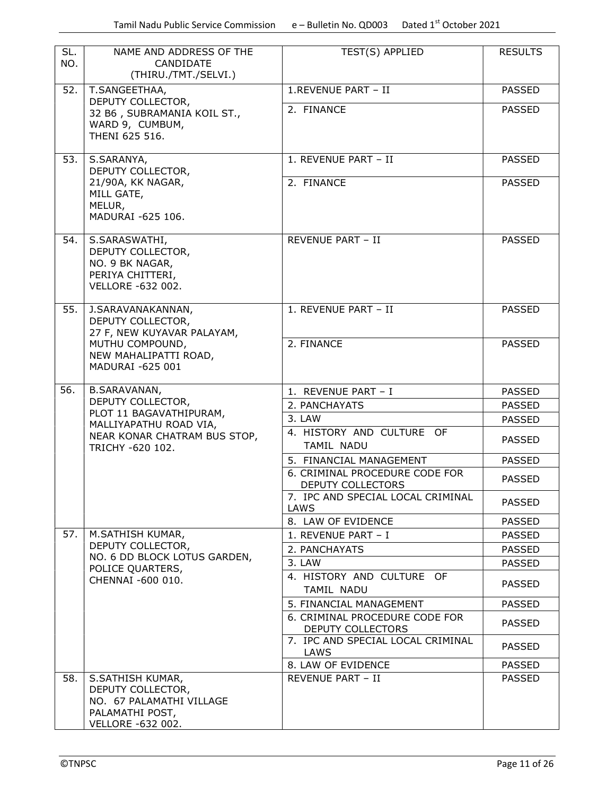| SL.                                                            | NAME AND ADDRESS OF THE                                                                                   | TEST(S) APPLIED                                     | <b>RESULTS</b> |
|----------------------------------------------------------------|-----------------------------------------------------------------------------------------------------------|-----------------------------------------------------|----------------|
| NO.                                                            | CANDIDATE<br>(THIRU./TMT./SELVI.)                                                                         |                                                     |                |
| 52.                                                            | T.SANGEETHAA,                                                                                             | 1.REVENUE PART - II                                 | <b>PASSED</b>  |
|                                                                | DEPUTY COLLECTOR,<br>32 B6, SUBRAMANIA KOIL ST.,<br>WARD 9, CUMBUM,<br>THENI 625 516.                     | 2. FINANCE                                          | <b>PASSED</b>  |
| 53.                                                            | S.SARANYA,<br>DEPUTY COLLECTOR,                                                                           | 1. REVENUE PART - II                                | <b>PASSED</b>  |
| 21/90A, KK NAGAR,<br>MILL GATE,<br>MELUR,<br>MADURAI -625 106. | 2. FINANCE                                                                                                | <b>PASSED</b>                                       |                |
| 54.                                                            | S.SARASWATHI,<br>DEPUTY COLLECTOR,<br>NO. 9 BK NAGAR,<br>PERIYA CHITTERI,<br><b>VELLORE -632 002.</b>     | <b>REVENUE PART - II</b>                            | <b>PASSED</b>  |
| 55.                                                            | J.SARAVANAKANNAN,<br>DEPUTY COLLECTOR,<br>27 F, NEW KUYAVAR PALAYAM,                                      | 1. REVENUE PART - II                                | <b>PASSED</b>  |
|                                                                | MUTHU COMPOUND,<br>NEW MAHALIPATTI ROAD,<br>MADURAI -625 001                                              | 2. FINANCE                                          | <b>PASSED</b>  |
| 56.                                                            | <b>B.SARAVANAN,</b>                                                                                       | 1. REVENUE PART - I                                 | <b>PASSED</b>  |
|                                                                | DEPUTY COLLECTOR,<br>PLOT 11 BAGAVATHIPURAM,                                                              | 2. PANCHAYATS                                       | <b>PASSED</b>  |
|                                                                | MALLIYAPATHU ROAD VIA,                                                                                    | 3. LAW                                              | <b>PASSED</b>  |
|                                                                | NEAR KONAR CHATRAM BUS STOP,<br>TRICHY -620 102.                                                          | 4. HISTORY AND CULTURE OF<br>TAMIL NADU             | <b>PASSED</b>  |
|                                                                |                                                                                                           | 5. FINANCIAL MANAGEMENT                             | <b>PASSED</b>  |
|                                                                |                                                                                                           | 6. CRIMINAL PROCEDURE CODE FOR<br>DEPUTY COLLECTORS | <b>PASSED</b>  |
|                                                                |                                                                                                           | 7. IPC AND SPECIAL LOCAL CRIMINAL<br>LAWS           | <b>PASSED</b>  |
|                                                                |                                                                                                           | 8. LAW OF EVIDENCE                                  | <b>PASSED</b>  |
| 57.                                                            | M.SATHISH KUMAR,<br>DEPUTY COLLECTOR,                                                                     | 1. REVENUE PART - I                                 | PASSED         |
|                                                                | NO. 6 DD BLOCK LOTUS GARDEN,                                                                              | 2. PANCHAYATS<br>3. LAW                             | <b>PASSED</b>  |
|                                                                | POLICE QUARTERS,                                                                                          | 4. HISTORY AND CULTURE OF                           | <b>PASSED</b>  |
|                                                                | CHENNAI -600 010.                                                                                         | TAMIL NADU                                          | <b>PASSED</b>  |
|                                                                |                                                                                                           | 5. FINANCIAL MANAGEMENT                             | <b>PASSED</b>  |
|                                                                |                                                                                                           | 6. CRIMINAL PROCEDURE CODE FOR<br>DEPUTY COLLECTORS | <b>PASSED</b>  |
|                                                                |                                                                                                           | 7. IPC AND SPECIAL LOCAL CRIMINAL<br>LAWS           | <b>PASSED</b>  |
|                                                                |                                                                                                           | 8. LAW OF EVIDENCE                                  | <b>PASSED</b>  |
| 58.                                                            | S.SATHISH KUMAR,<br>DEPUTY COLLECTOR,<br>NO. 67 PALAMATHI VILLAGE<br>PALAMATHI POST,<br>VELLORE -632 002. | REVENUE PART - II                                   | <b>PASSED</b>  |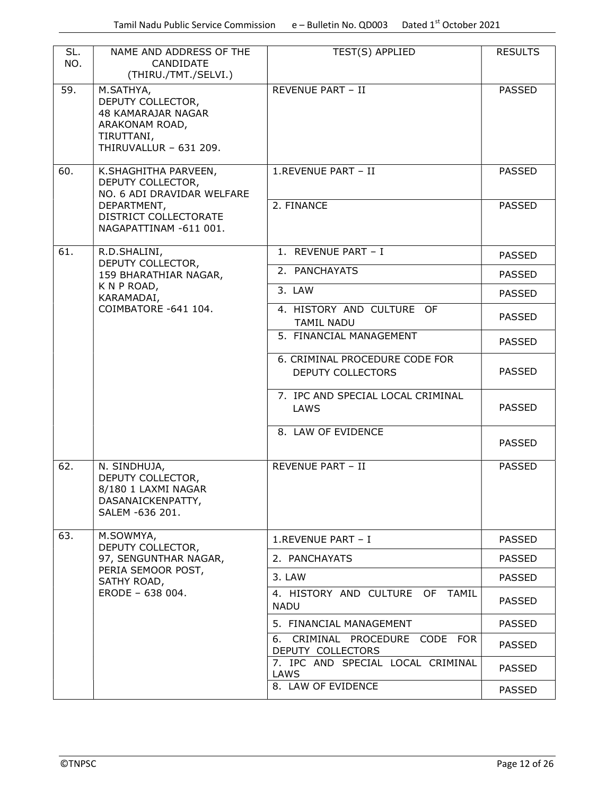| SL.<br>NO. | NAME AND ADDRESS OF THE<br>CANDIDATE<br>(THIRU./TMT./SELVI.)                                                   | TEST(S) APPLIED                                        | <b>RESULTS</b> |
|------------|----------------------------------------------------------------------------------------------------------------|--------------------------------------------------------|----------------|
| 59.        | M.SATHYA,<br>DEPUTY COLLECTOR,<br>48 KAMARAJAR NAGAR<br>ARAKONAM ROAD,<br>TIRUTTANI,<br>THIRUVALLUR - 631 209. | <b>REVENUE PART - II</b>                               | <b>PASSED</b>  |
| 60.        | K.SHAGHITHA PARVEEN,<br>DEPUTY COLLECTOR,<br>NO. 6 ADI DRAVIDAR WELFARE                                        | 1.REVENUE PART - II                                    | <b>PASSED</b>  |
|            | DEPARTMENT,<br>DISTRICT COLLECTORATE<br>NAGAPATTINAM -611 001.                                                 | 2. FINANCE                                             | <b>PASSED</b>  |
| 61.        | R.D.SHALINI,                                                                                                   | 1. REVENUE PART - I                                    | <b>PASSED</b>  |
|            | DEPUTY COLLECTOR,<br>159 BHARATHIAR NAGAR,                                                                     | 2. PANCHAYATS                                          | <b>PASSED</b>  |
|            | K N P ROAD,<br>KARAMADAI,                                                                                      | 3. LAW                                                 | <b>PASSED</b>  |
|            | COIMBATORE -641 104.                                                                                           | 4. HISTORY AND CULTURE OF<br><b>TAMIL NADU</b>         | <b>PASSED</b>  |
|            |                                                                                                                | 5. FINANCIAL MANAGEMENT                                | <b>PASSED</b>  |
|            |                                                                                                                | 6. CRIMINAL PROCEDURE CODE FOR                         |                |
|            |                                                                                                                | DEPUTY COLLECTORS                                      | <b>PASSED</b>  |
|            |                                                                                                                | 7. IPC AND SPECIAL LOCAL CRIMINAL<br>LAWS              | <b>PASSED</b>  |
|            |                                                                                                                | 8. LAW OF EVIDENCE                                     | <b>PASSED</b>  |
| 62.        | N. SINDHUJA,<br>DEPUTY COLLECTOR,<br>8/180 1 LAXMI NAGAR<br>DASANAICKENPATTY,<br>SALEM -636 201.               | <b>REVENUE PART - II</b>                               | <b>PASSED</b>  |
| 63.        | M.SOWMYA,<br>DEPUTY COLLECTOR,                                                                                 | 1.REVENUE PART - I                                     | <b>PASSED</b>  |
|            | 97, SENGUNTHAR NAGAR,                                                                                          | 2. PANCHAYATS                                          | <b>PASSED</b>  |
|            | PERIA SEMOOR POST,<br>SATHY ROAD,                                                                              | 3. LAW                                                 | <b>PASSED</b>  |
|            | ERODE - 638 004.                                                                                               | 4. HISTORY AND CULTURE OF TAMIL<br><b>NADU</b>         | <b>PASSED</b>  |
|            |                                                                                                                | 5. FINANCIAL MANAGEMENT                                | <b>PASSED</b>  |
|            |                                                                                                                | CRIMINAL PROCEDURE CODE FOR<br>6.<br>DEPUTY COLLECTORS | <b>PASSED</b>  |
|            |                                                                                                                | 7. IPC AND SPECIAL LOCAL CRIMINAL<br>LAWS              | <b>PASSED</b>  |
|            |                                                                                                                | 8. LAW OF EVIDENCE                                     | <b>PASSED</b>  |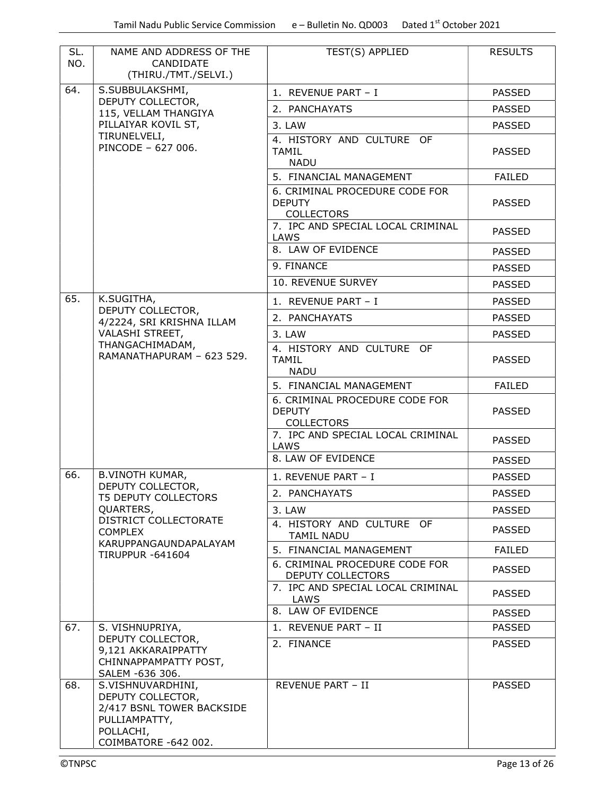| SL.<br>NO. | NAME AND ADDRESS OF THE<br>CANDIDATE<br>(THIRU./TMT./SELVI.)                                                              | TEST(S) APPLIED                                                      | <b>RESULTS</b> |
|------------|---------------------------------------------------------------------------------------------------------------------------|----------------------------------------------------------------------|----------------|
| 64.        | S.SUBBULAKSHMI,                                                                                                           | 1. REVENUE PART - I                                                  | <b>PASSED</b>  |
|            | DEPUTY COLLECTOR,<br>115, VELLAM THANGIYA                                                                                 | 2. PANCHAYATS                                                        | <b>PASSED</b>  |
|            | PILLAIYAR KOVIL ST,                                                                                                       | 3. LAW                                                               | <b>PASSED</b>  |
|            | TIRUNELVELI,<br>PINCODE - 627 006.                                                                                        | 4. HISTORY AND CULTURE OF<br><b>TAMIL</b><br><b>NADU</b>             | <b>PASSED</b>  |
|            |                                                                                                                           | 5. FINANCIAL MANAGEMENT                                              | <b>FAILED</b>  |
|            |                                                                                                                           | 6. CRIMINAL PROCEDURE CODE FOR<br><b>DEPUTY</b><br><b>COLLECTORS</b> | <b>PASSED</b>  |
|            |                                                                                                                           | 7. IPC AND SPECIAL LOCAL CRIMINAL<br>LAWS                            | <b>PASSED</b>  |
|            |                                                                                                                           | 8. LAW OF EVIDENCE                                                   | <b>PASSED</b>  |
|            |                                                                                                                           | 9. FINANCE                                                           | <b>PASSED</b>  |
|            |                                                                                                                           | 10. REVENUE SURVEY                                                   | <b>PASSED</b>  |
| 65.        | K.SUGITHA,                                                                                                                | 1. REVENUE PART - I                                                  | <b>PASSED</b>  |
|            | DEPUTY COLLECTOR,<br>4/2224, SRI KRISHNA ILLAM                                                                            | 2. PANCHAYATS                                                        | <b>PASSED</b>  |
|            | VALASHI STREET,                                                                                                           | 3. LAW                                                               | <b>PASSED</b>  |
|            | THANGACHIMADAM,<br>RAMANATHAPURAM - 623 529.                                                                              | 4. HISTORY AND CULTURE OF<br><b>TAMIL</b><br><b>NADU</b>             | <b>PASSED</b>  |
|            |                                                                                                                           | 5. FINANCIAL MANAGEMENT                                              | <b>FAILED</b>  |
|            |                                                                                                                           | 6. CRIMINAL PROCEDURE CODE FOR<br><b>DEPUTY</b><br><b>COLLECTORS</b> | <b>PASSED</b>  |
|            |                                                                                                                           | 7. IPC AND SPECIAL LOCAL CRIMINAL<br>LAWS                            | <b>PASSED</b>  |
|            |                                                                                                                           | 8. LAW OF EVIDENCE                                                   | <b>PASSED</b>  |
| 66.        | <b>B.VINOTH KUMAR,</b>                                                                                                    | 1. REVENUE PART - I                                                  | <b>PASSED</b>  |
|            | DEPUTY COLLECTOR,<br><b>T5 DEPUTY COLLECTORS</b>                                                                          | 2. PANCHAYATS                                                        | <b>PASSED</b>  |
|            | QUARTERS,                                                                                                                 | 3. LAW                                                               | <b>PASSED</b>  |
|            | DISTRICT COLLECTORATE<br><b>COMPLEX</b>                                                                                   | 4. HISTORY AND CULTURE OF<br>TAMIL NADU                              | <b>PASSED</b>  |
|            | KARUPPANGAUNDAPALAYAM<br><b>TIRUPPUR -641604</b>                                                                          | 5. FINANCIAL MANAGEMENT                                              | <b>FAILED</b>  |
|            |                                                                                                                           | 6. CRIMINAL PROCEDURE CODE FOR<br>DEPUTY COLLECTORS                  | <b>PASSED</b>  |
|            |                                                                                                                           | 7. IPC AND SPECIAL LOCAL CRIMINAL<br>LAWS                            | <b>PASSED</b>  |
|            |                                                                                                                           | 8. LAW OF EVIDENCE                                                   | <b>PASSED</b>  |
| 67.        | S. VISHNUPRIYA,                                                                                                           | 1. REVENUE PART - II                                                 | <b>PASSED</b>  |
|            | DEPUTY COLLECTOR,<br>9,121 AKKARAIPPATTY<br>CHINNAPPAMPATTY POST,<br>SALEM -636 306.                                      | 2. FINANCE                                                           | <b>PASSED</b>  |
| 68.        | S.VISHNUVARDHINI,<br>DEPUTY COLLECTOR,<br>2/417 BSNL TOWER BACKSIDE<br>PULLIAMPATTY,<br>POLLACHI,<br>COIMBATORE -642 002. | REVENUE PART - II                                                    | <b>PASSED</b>  |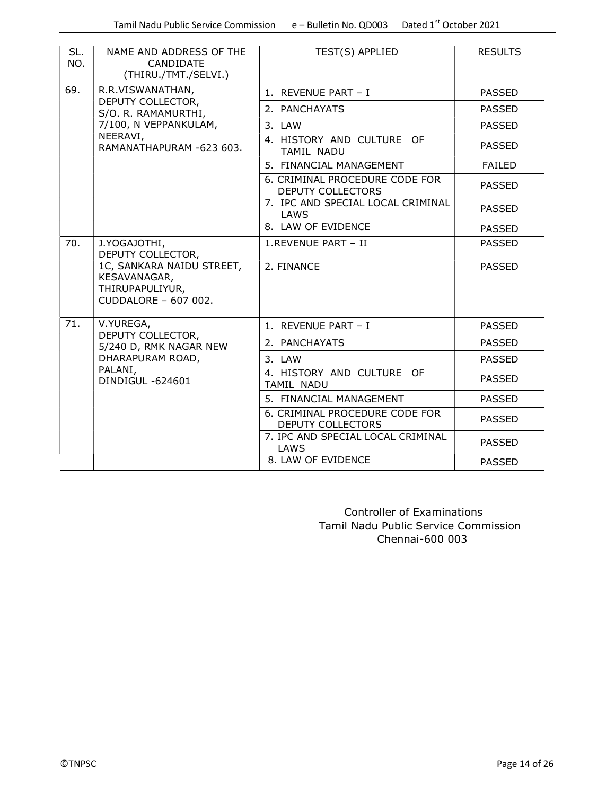| SL.<br>NO.                                                                           | NAME AND ADDRESS OF THE<br>CANDIDATE<br>(THIRU./TMT./SELVI.)                                  | TEST(S) APPLIED                                     | <b>RESULTS</b> |
|--------------------------------------------------------------------------------------|-----------------------------------------------------------------------------------------------|-----------------------------------------------------|----------------|
| 69.                                                                                  | R.R.VISWANATHAN,                                                                              | 1. REVENUE PART - I                                 | <b>PASSED</b>  |
|                                                                                      | DEPUTY COLLECTOR,<br>S/O. R. RAMAMURTHI,                                                      | 2. PANCHAYATS                                       | <b>PASSED</b>  |
|                                                                                      | 7/100, N VEPPANKULAM,                                                                         | 3. LAW                                              | <b>PASSED</b>  |
|                                                                                      | NEERAVI,<br>RAMANATHAPURAM -623 603.                                                          | 4. HISTORY AND CULTURE OF<br>TAMIL NADU             | <b>PASSED</b>  |
|                                                                                      |                                                                                               | 5. FINANCIAL MANAGEMENT                             | <b>FAILED</b>  |
|                                                                                      |                                                                                               | 6. CRIMINAL PROCEDURE CODE FOR<br>DEPUTY COLLECTORS | <b>PASSED</b>  |
|                                                                                      |                                                                                               | 7. IPC AND SPECIAL LOCAL CRIMINAL<br>LAWS           | <b>PASSED</b>  |
|                                                                                      |                                                                                               | 8. LAW OF EVIDENCE                                  | <b>PASSED</b>  |
| 70.                                                                                  | J.YOGAJOTHI,<br>DEPUTY COLLECTOR,                                                             | 1.REVENUE PART - II                                 | <b>PASSED</b>  |
| 1C, SANKARA NAIDU STREET,<br>KESAVANAGAR,<br>THIRUPAPULIYUR,<br>CUDDALORE - 607 002. | 2. FINANCE                                                                                    | <b>PASSED</b>                                       |                |
| 71.                                                                                  | V.YUREGA,                                                                                     | 1. REVENUE PART - I                                 | <b>PASSED</b>  |
|                                                                                      | DEPUTY COLLECTOR,<br>5/240 D, RMK NAGAR NEW<br>DHARAPURAM ROAD,<br>PALANI,<br>DINDIGUL-624601 | 2. PANCHAYATS                                       | <b>PASSED</b>  |
|                                                                                      |                                                                                               | 3. LAW                                              | <b>PASSED</b>  |
|                                                                                      |                                                                                               | 4. HISTORY AND CULTURE OF<br>TAMIL NADU             | <b>PASSED</b>  |
|                                                                                      |                                                                                               | 5. FINANCIAL MANAGEMENT                             | <b>PASSED</b>  |
|                                                                                      |                                                                                               | 6. CRIMINAL PROCEDURE CODE FOR<br>DEPUTY COLLECTORS | <b>PASSED</b>  |
|                                                                                      |                                                                                               | 7. IPC AND SPECIAL LOCAL CRIMINAL<br>LAWS           | <b>PASSED</b>  |
|                                                                                      |                                                                                               | 8. LAW OF EVIDENCE                                  | <b>PASSED</b>  |

 Controller of Examinations Tamil Nadu Public Service Commission Chennai-600 003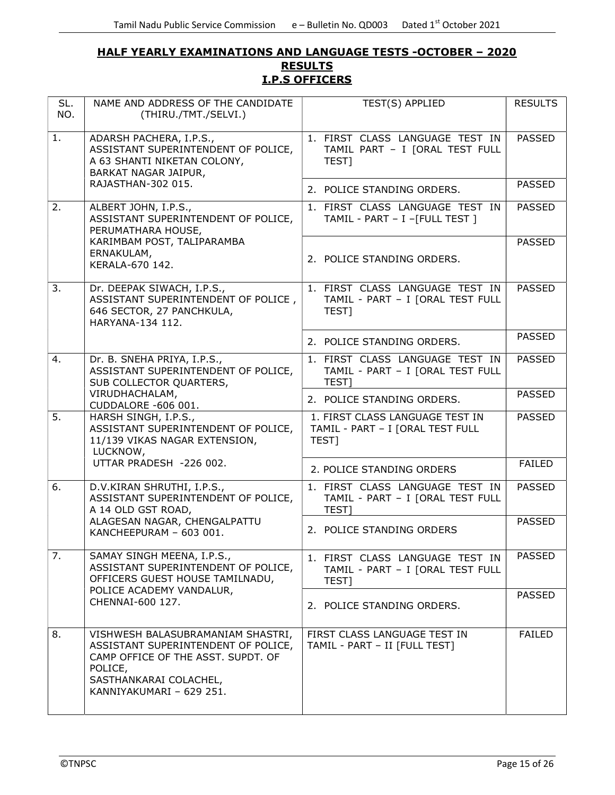### HALF YEARLY EXAMINATIONS AND LANGUAGE TESTS -OCTOBER – 2020 **RESULTS** I.P.S OFFICERS

| SL.<br>NO. | NAME AND ADDRESS OF THE CANDIDATE<br>(THIRU./TMT./SELVI.)                                                                                                                       | TEST(S) APPLIED                                                              | <b>RESULTS</b> |
|------------|---------------------------------------------------------------------------------------------------------------------------------------------------------------------------------|------------------------------------------------------------------------------|----------------|
| 1.         | ADARSH PACHERA, I.P.S.,<br>ASSISTANT SUPERINTENDENT OF POLICE,<br>A 63 SHANTI NIKETAN COLONY,<br>BARKAT NAGAR JAIPUR,                                                           | 1. FIRST CLASS LANGUAGE TEST IN<br>TAMIL PART - I [ORAL TEST FULL<br>TEST]   | <b>PASSED</b>  |
|            | RAJASTHAN-302 015.                                                                                                                                                              | 2. POLICE STANDING ORDERS.                                                   | <b>PASSED</b>  |
| 2.         | ALBERT JOHN, I.P.S.,<br>ASSISTANT SUPERINTENDENT OF POLICE,<br>PERUMATHARA HOUSE,                                                                                               | 1. FIRST CLASS LANGUAGE TEST IN<br>TAMIL - PART - I -[FULL TEST ]            | <b>PASSED</b>  |
|            | KARIMBAM POST, TALIPARAMBA<br>ERNAKULAM,<br>KERALA-670 142.                                                                                                                     | 2. POLICE STANDING ORDERS.                                                   | <b>PASSED</b>  |
| 3.         | Dr. DEEPAK SIWACH, I.P.S.,<br>ASSISTANT SUPERINTENDENT OF POLICE,<br>646 SECTOR, 27 PANCHKULA,<br>HARYANA-134 112.                                                              | 1. FIRST CLASS LANGUAGE TEST IN<br>TAMIL - PART - I [ORAL TEST FULL<br>TEST] | <b>PASSED</b>  |
|            |                                                                                                                                                                                 | 2. POLICE STANDING ORDERS.                                                   | <b>PASSED</b>  |
| 4.         | Dr. B. SNEHA PRIYA, I.P.S.,<br>ASSISTANT SUPERINTENDENT OF POLICE,<br>SUB COLLECTOR QUARTERS,                                                                                   | 1. FIRST CLASS LANGUAGE TEST IN<br>TAMIL - PART - I [ORAL TEST FULL<br>TEST] | <b>PASSED</b>  |
|            | VIRUDHACHALAM,<br>CUDDALORE -606 001.                                                                                                                                           | 2. POLICE STANDING ORDERS.                                                   | <b>PASSED</b>  |
| 5.         | HARSH SINGH, I.P.S.,<br>ASSISTANT SUPERINTENDENT OF POLICE,<br>11/139 VIKAS NAGAR EXTENSION,<br>LUCKNOW,                                                                        | 1. FIRST CLASS LANGUAGE TEST IN<br>TAMIL - PART - I [ORAL TEST FULL<br>TEST] | <b>PASSED</b>  |
|            | UTTAR PRADESH -226 002.                                                                                                                                                         | 2. POLICE STANDING ORDERS                                                    | <b>FAILED</b>  |
| 6.         | D.V.KIRAN SHRUTHI, I.P.S.,<br>ASSISTANT SUPERINTENDENT OF POLICE,<br>A 14 OLD GST ROAD,                                                                                         | 1. FIRST CLASS LANGUAGE TEST IN<br>TAMIL - PART - I [ORAL TEST FULL<br>TEST] | <b>PASSED</b>  |
|            | ALAGESAN NAGAR, CHENGALPATTU<br>KANCHEEPURAM - 603 001.                                                                                                                         | 2. POLICE STANDING ORDERS                                                    | <b>PASSED</b>  |
| 7.         | SAMAY SINGH MEENA, I.P.S.,<br>ASSISTANT SUPERINTENDENT OF POLICE,<br>OFFICERS GUEST HOUSE TAMILNADU,                                                                            | 1. FIRST CLASS LANGUAGE TEST IN<br>TAMIL - PART - I [ORAL TEST FULL<br>TEST] | <b>PASSED</b>  |
|            | POLICE ACADEMY VANDALUR,<br>CHENNAI-600 127.                                                                                                                                    | 2. POLICE STANDING ORDERS.                                                   | <b>PASSED</b>  |
| 8.         | VISHWESH BALASUBRAMANIAM SHASTRI,<br>ASSISTANT SUPERINTENDENT OF POLICE,<br>CAMP OFFICE OF THE ASST. SUPDT. OF<br>POLICE,<br>SASTHANKARAI COLACHEL,<br>KANNIYAKUMARI - 629 251. | FIRST CLASS LANGUAGE TEST IN<br>TAMIL - PART - II [FULL TEST]                | <b>FAILED</b>  |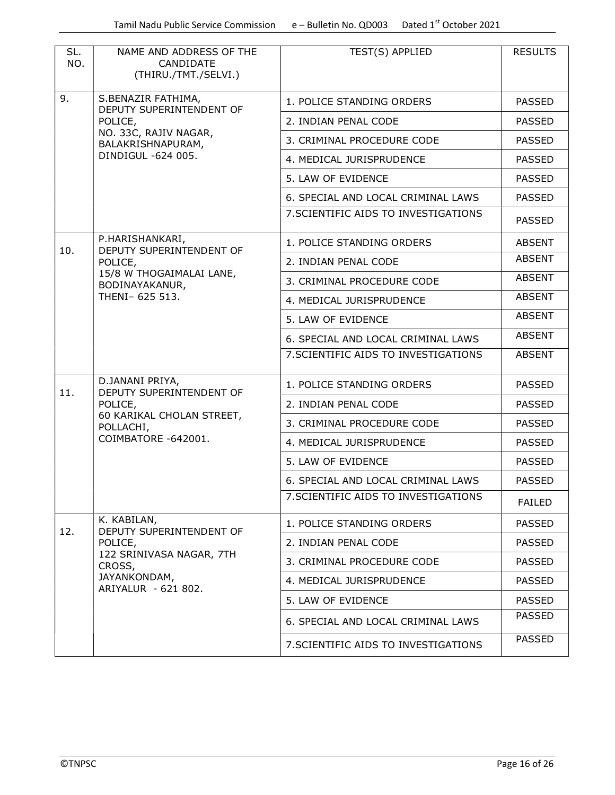| SL.<br>NO. | NAME AND ADDRESS OF THE<br>CANDIDATE<br>(THIRU./TMT./SELVI.)              | TEST(S) APPLIED                      | <b>RESULTS</b> |
|------------|---------------------------------------------------------------------------|--------------------------------------|----------------|
| 9.         | S.BENAZIR FATHIMA,<br>DEPUTY SUPERINTENDENT OF                            | 1. POLICE STANDING ORDERS            | <b>PASSED</b>  |
|            | POLICE,                                                                   | 2. INDIAN PENAL CODE                 | <b>PASSED</b>  |
|            | NO. 33C, RAJIV NAGAR,<br>BALAKRISHNAPURAM,                                | 3. CRIMINAL PROCEDURE CODE           | <b>PASSED</b>  |
|            | DINDIGUL -624 005.                                                        | 4. MEDICAL JURISPRUDENCE             | <b>PASSED</b>  |
|            |                                                                           | 5. LAW OF EVIDENCE                   | <b>PASSED</b>  |
|            |                                                                           | 6. SPECIAL AND LOCAL CRIMINAL LAWS   | <b>PASSED</b>  |
|            |                                                                           | 7. SCIENTIFIC AIDS TO INVESTIGATIONS | <b>PASSED</b>  |
| 10.        | P.HARISHANKARI,<br>DEPUTY SUPERINTENDENT OF                               | 1. POLICE STANDING ORDERS            | <b>ABSENT</b>  |
|            | POLICE,                                                                   | 2. INDIAN PENAL CODE                 | <b>ABSENT</b>  |
|            | 15/8 W THOGAIMALAI LANE,<br>BODINAYAKANUR,                                | 3. CRIMINAL PROCEDURE CODE           | <b>ABSENT</b>  |
|            | THENI- 625 513.                                                           | 4. MEDICAL JURISPRUDENCE             | <b>ABSENT</b>  |
|            |                                                                           | 5. LAW OF EVIDENCE                   | <b>ABSENT</b>  |
|            |                                                                           | 6. SPECIAL AND LOCAL CRIMINAL LAWS   | <b>ABSENT</b>  |
|            |                                                                           | 7. SCIENTIFIC AIDS TO INVESTIGATIONS | <b>ABSENT</b>  |
| 11.        | D.JANANI PRIYA,<br>DEPUTY SUPERINTENDENT OF                               | 1. POLICE STANDING ORDERS            | <b>PASSED</b>  |
|            | POLICE,                                                                   | 2. INDIAN PENAL CODE                 | <b>PASSED</b>  |
|            | 60 KARIKAL CHOLAN STREET,<br>POLLACHI,                                    | 3. CRIMINAL PROCEDURE CODE           | <b>PASSED</b>  |
|            | COIMBATORE -642001.                                                       | 4. MEDICAL JURISPRUDENCE             | <b>PASSED</b>  |
|            |                                                                           | 5. LAW OF EVIDENCE                   | <b>PASSED</b>  |
|            |                                                                           | 6. SPECIAL AND LOCAL CRIMINAL LAWS   | <b>PASSED</b>  |
|            |                                                                           | 7. SCIENTIFIC AIDS TO INVESTIGATIONS | <b>FAILED</b>  |
| 12.        | K. KABILAN,<br>DEPUTY SUPERINTENDENT OF                                   | 1. POLICE STANDING ORDERS            | <b>PASSED</b>  |
|            | POLICE,                                                                   | 2. INDIAN PENAL CODE                 | <b>PASSED</b>  |
|            | 122 SRINIVASA NAGAR, 7TH<br>CROSS,<br>JAYANKONDAM,<br>ARIYALUR - 621 802. | 3. CRIMINAL PROCEDURE CODE           | <b>PASSED</b>  |
|            |                                                                           | 4. MEDICAL JURISPRUDENCE             | <b>PASSED</b>  |
|            |                                                                           | 5. LAW OF EVIDENCE                   | <b>PASSED</b>  |
|            |                                                                           | 6. SPECIAL AND LOCAL CRIMINAL LAWS   | <b>PASSED</b>  |
|            |                                                                           | 7. SCIENTIFIC AIDS TO INVESTIGATIONS | <b>PASSED</b>  |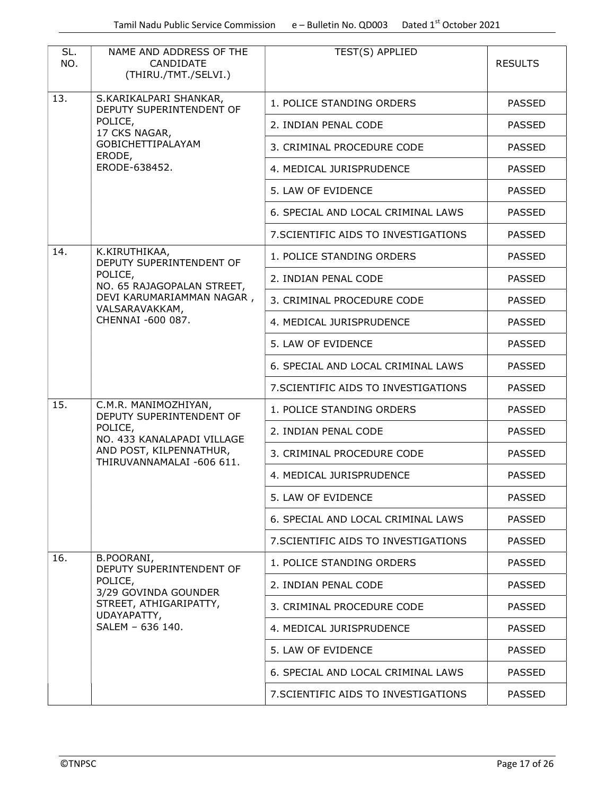| SL.<br>NO.                      | NAME AND ADDRESS OF THE<br>CANDIDATE<br>(THIRU./TMT./SELVI.) | TEST(S) APPLIED                      | <b>RESULTS</b> |
|---------------------------------|--------------------------------------------------------------|--------------------------------------|----------------|
| 13.                             | S.KARIKALPARI SHANKAR,<br>DEPUTY SUPERINTENDENT OF           | 1. POLICE STANDING ORDERS            | <b>PASSED</b>  |
|                                 | POLICE,<br>17 CKS NAGAR,                                     | 2. INDIAN PENAL CODE                 | <b>PASSED</b>  |
|                                 | GOBICHETTIPALAYAM<br>ERODE,                                  | 3. CRIMINAL PROCEDURE CODE           | <b>PASSED</b>  |
|                                 | ERODE-638452.                                                | 4. MEDICAL JURISPRUDENCE             | <b>PASSED</b>  |
|                                 |                                                              | 5. LAW OF EVIDENCE                   | <b>PASSED</b>  |
|                                 |                                                              | 6. SPECIAL AND LOCAL CRIMINAL LAWS   | <b>PASSED</b>  |
|                                 |                                                              | 7. SCIENTIFIC AIDS TO INVESTIGATIONS | <b>PASSED</b>  |
| 14.                             | K.KIRUTHIKAA,<br>DEPUTY SUPERINTENDENT OF                    | 1. POLICE STANDING ORDERS            | <b>PASSED</b>  |
|                                 | POLICE,<br>NO. 65 RAJAGOPALAN STREET,                        | 2. INDIAN PENAL CODE                 | <b>PASSED</b>  |
|                                 | DEVI KARUMARIAMMAN NAGAR,<br>VALSARAVAKKAM,                  | 3. CRIMINAL PROCEDURE CODE           | <b>PASSED</b>  |
|                                 | CHENNAI -600 087.                                            | 4. MEDICAL JURISPRUDENCE             | <b>PASSED</b>  |
|                                 |                                                              | 5. LAW OF EVIDENCE                   | <b>PASSED</b>  |
|                                 |                                                              | 6. SPECIAL AND LOCAL CRIMINAL LAWS   | <b>PASSED</b>  |
|                                 |                                                              | 7. SCIENTIFIC AIDS TO INVESTIGATIONS | <b>PASSED</b>  |
| 15.                             | C.M.R. MANIMOZHIYAN,<br>DEPUTY SUPERINTENDENT OF             | 1. POLICE STANDING ORDERS            | <b>PASSED</b>  |
|                                 | POLICE,<br>NO. 433 KANALAPADI VILLAGE                        | 2. INDIAN PENAL CODE                 | <b>PASSED</b>  |
|                                 | AND POST, KILPENNATHUR,<br>THIRUVANNAMALAI -606 611.         | 3. CRIMINAL PROCEDURE CODE           | <b>PASSED</b>  |
|                                 |                                                              | 4. MEDICAL JURISPRUDENCE             | <b>PASSED</b>  |
|                                 |                                                              | 5. LAW OF EVIDENCE                   | <b>PASSED</b>  |
|                                 |                                                              | 6. SPECIAL AND LOCAL CRIMINAL LAWS   | <b>PASSED</b>  |
|                                 |                                                              | 7. SCIENTIFIC AIDS TO INVESTIGATIONS | <b>PASSED</b>  |
| 16.                             | B.POORANI,<br>DEPUTY SUPERINTENDENT OF                       | 1. POLICE STANDING ORDERS            | <b>PASSED</b>  |
|                                 | POLICE,<br>3/29 GOVINDA GOUNDER                              | 2. INDIAN PENAL CODE                 | <b>PASSED</b>  |
| UDAYAPATTY,<br>SALEM - 636 140. | STREET, ATHIGARIPATTY,                                       | 3. CRIMINAL PROCEDURE CODE           | <b>PASSED</b>  |
|                                 |                                                              | 4. MEDICAL JURISPRUDENCE             | <b>PASSED</b>  |
|                                 |                                                              | 5. LAW OF EVIDENCE                   | <b>PASSED</b>  |
|                                 |                                                              | 6. SPECIAL AND LOCAL CRIMINAL LAWS   | <b>PASSED</b>  |
|                                 |                                                              | 7. SCIENTIFIC AIDS TO INVESTIGATIONS | <b>PASSED</b>  |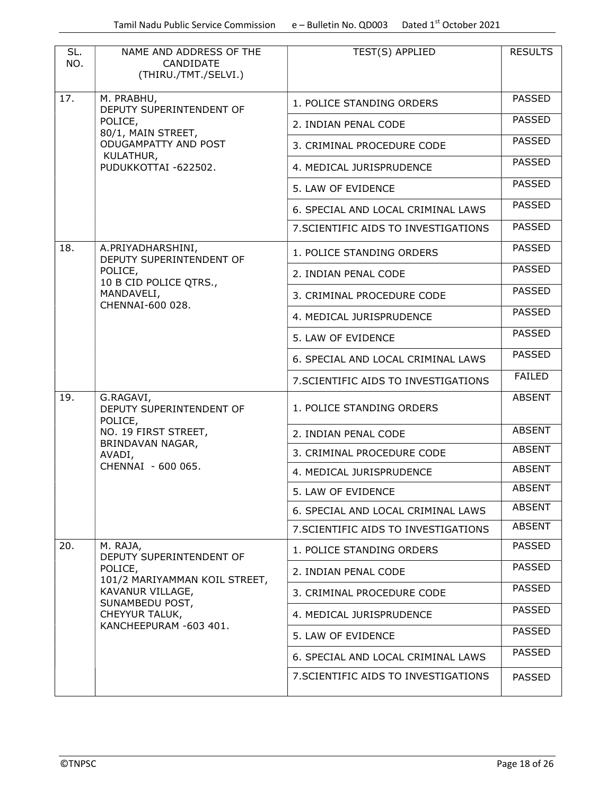| SL.<br>NO. | NAME AND ADDRESS OF THE<br>CANDIDATE<br>(THIRU./TMT./SELVI.) | TEST(S) APPLIED                      | <b>RESULTS</b> |
|------------|--------------------------------------------------------------|--------------------------------------|----------------|
| 17.        | M. PRABHU,<br>DEPUTY SUPERINTENDENT OF                       | 1. POLICE STANDING ORDERS            | <b>PASSED</b>  |
|            | POLICE,<br>80/1, MAIN STREET,                                | 2. INDIAN PENAL CODE                 | <b>PASSED</b>  |
|            | ODUGAMPATTY AND POST                                         | 3. CRIMINAL PROCEDURE CODE           | <b>PASSED</b>  |
|            | KULATHUR,<br>PUDUKKOTTAI -622502.                            | 4. MEDICAL JURISPRUDENCE             | <b>PASSED</b>  |
|            |                                                              | 5. LAW OF EVIDENCE                   | <b>PASSED</b>  |
|            |                                                              | 6. SPECIAL AND LOCAL CRIMINAL LAWS   | <b>PASSED</b>  |
|            |                                                              | 7. SCIENTIFIC AIDS TO INVESTIGATIONS | <b>PASSED</b>  |
| 18.        | A.PRIYADHARSHINI,<br>DEPUTY SUPERINTENDENT OF                | 1. POLICE STANDING ORDERS            | <b>PASSED</b>  |
|            | POLICE,<br>10 B CID POLICE QTRS.,                            | 2. INDIAN PENAL CODE                 | <b>PASSED</b>  |
|            | MANDAVELI,                                                   | 3. CRIMINAL PROCEDURE CODE           | <b>PASSED</b>  |
|            | CHENNAI-600 028.                                             | 4. MEDICAL JURISPRUDENCE             | <b>PASSED</b>  |
|            |                                                              | 5. LAW OF EVIDENCE                   | <b>PASSED</b>  |
|            |                                                              | 6. SPECIAL AND LOCAL CRIMINAL LAWS   | <b>PASSED</b>  |
|            |                                                              | 7. SCIENTIFIC AIDS TO INVESTIGATIONS | <b>FAILED</b>  |
| 19.        | G.RAGAVI,<br>DEPUTY SUPERINTENDENT OF<br>POLICE,             | 1. POLICE STANDING ORDERS            | <b>ABSENT</b>  |
|            | NO. 19 FIRST STREET,<br>BRINDAVAN NAGAR,                     | 2. INDIAN PENAL CODE                 | <b>ABSENT</b>  |
|            | AVADI,<br>CHENNAI - 600 065.                                 | 3. CRIMINAL PROCEDURE CODE           | <b>ABSENT</b>  |
|            |                                                              | 4. MEDICAL JURISPRUDENCE             | <b>ABSENT</b>  |
|            |                                                              | 5. LAW OF EVIDENCE                   | <b>ABSENT</b>  |
|            |                                                              | 6. SPECIAL AND LOCAL CRIMINAL LAWS   | <b>ABSENT</b>  |
|            |                                                              | 7. SCIENTIFIC AIDS TO INVESTIGATIONS | <b>ABSENT</b>  |
| 20.        | M. RAJA,<br>DEPUTY SUPERINTENDENT OF                         | 1. POLICE STANDING ORDERS            | <b>PASSED</b>  |
|            | POLICE,<br>101/2 MARIYAMMAN KOIL STREET,                     | 2. INDIAN PENAL CODE                 | <b>PASSED</b>  |
|            | KAVANUR VILLAGE,                                             | 3. CRIMINAL PROCEDURE CODE           | <b>PASSED</b>  |
|            | SUNAMBEDU POST,<br>CHEYYUR TALUK,                            | 4. MEDICAL JURISPRUDENCE             | <b>PASSED</b>  |
|            | KANCHEEPURAM -603 401.                                       | 5. LAW OF EVIDENCE                   | <b>PASSED</b>  |
|            |                                                              | 6. SPECIAL AND LOCAL CRIMINAL LAWS   | <b>PASSED</b>  |
|            |                                                              | 7. SCIENTIFIC AIDS TO INVESTIGATIONS | <b>PASSED</b>  |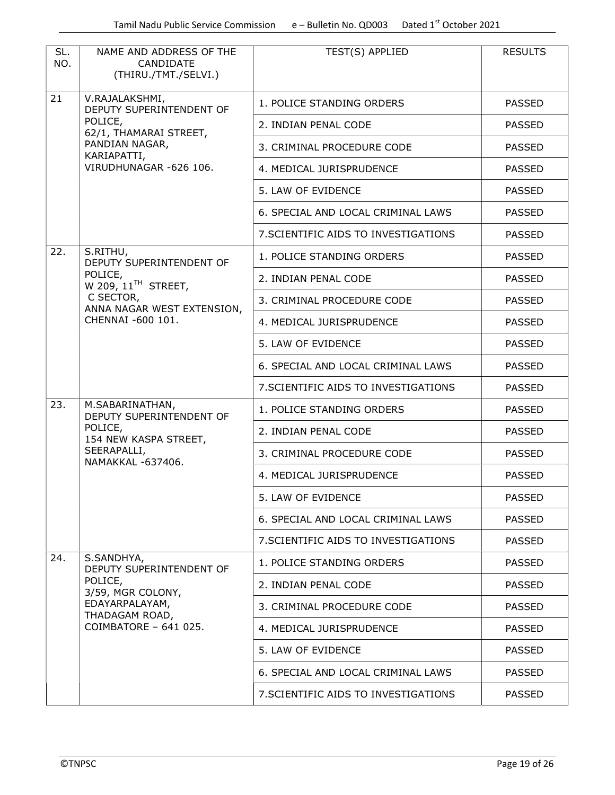| SL.<br>NO. | NAME AND ADDRESS OF THE<br>CANDIDATE<br>(THIRU./TMT./SELVI.) | TEST(S) APPLIED                      | <b>RESULTS</b> |
|------------|--------------------------------------------------------------|--------------------------------------|----------------|
| 21         | V.RAJALAKSHMI,<br>DEPUTY SUPERINTENDENT OF                   | 1. POLICE STANDING ORDERS            | <b>PASSED</b>  |
|            | POLICE,<br>62/1, THAMARAI STREET,                            | 2. INDIAN PENAL CODE                 | <b>PASSED</b>  |
|            | PANDIAN NAGAR,<br>KARIAPATTI,                                | 3. CRIMINAL PROCEDURE CODE           | <b>PASSED</b>  |
|            | VIRUDHUNAGAR -626 106.                                       | 4. MEDICAL JURISPRUDENCE             | <b>PASSED</b>  |
|            |                                                              | 5. LAW OF EVIDENCE                   | <b>PASSED</b>  |
|            |                                                              | 6. SPECIAL AND LOCAL CRIMINAL LAWS   | <b>PASSED</b>  |
|            |                                                              | 7. SCIENTIFIC AIDS TO INVESTIGATIONS | <b>PASSED</b>  |
| 22.        | S.RITHU,<br>DEPUTY SUPERINTENDENT OF                         | 1. POLICE STANDING ORDERS            | <b>PASSED</b>  |
|            | POLICE,<br>W 209, $11TH$ STREET,                             | 2. INDIAN PENAL CODE                 | <b>PASSED</b>  |
|            | C SECTOR,<br>ANNA NAGAR WEST EXTENSION,                      | 3. CRIMINAL PROCEDURE CODE           | <b>PASSED</b>  |
|            | CHENNAI -600 101.                                            | 4. MEDICAL JURISPRUDENCE             | <b>PASSED</b>  |
|            |                                                              | 5. LAW OF EVIDENCE                   | <b>PASSED</b>  |
|            |                                                              | 6. SPECIAL AND LOCAL CRIMINAL LAWS   | <b>PASSED</b>  |
|            |                                                              | 7. SCIENTIFIC AIDS TO INVESTIGATIONS | <b>PASSED</b>  |
| 23.        | M.SABARINATHAN,<br>DEPUTY SUPERINTENDENT OF                  | 1. POLICE STANDING ORDERS            | <b>PASSED</b>  |
|            | POLICE,<br>154 NEW KASPA STREET,                             | 2. INDIAN PENAL CODE                 | <b>PASSED</b>  |
|            | SEERAPALLI,<br>NAMAKKAL -637406.                             | 3. CRIMINAL PROCEDURE CODE           | <b>PASSED</b>  |
|            |                                                              | 4. MEDICAL JURISPRUDENCE             | <b>PASSED</b>  |
|            |                                                              | 5. LAW OF EVIDENCE                   | <b>PASSED</b>  |
|            |                                                              | 6. SPECIAL AND LOCAL CRIMINAL LAWS   | <b>PASSED</b>  |
|            |                                                              | 7. SCIENTIFIC AIDS TO INVESTIGATIONS | <b>PASSED</b>  |
| 24.        | S.SANDHYA,<br>DEPUTY SUPERINTENDENT OF                       | 1. POLICE STANDING ORDERS            | <b>PASSED</b>  |
|            | POLICE,<br>3/59, MGR COLONY,                                 | 2. INDIAN PENAL CODE                 | <b>PASSED</b>  |
|            | EDAYARPALAYAM,<br>THADAGAM ROAD,                             | 3. CRIMINAL PROCEDURE CODE           | <b>PASSED</b>  |
|            | COIMBATORE - 641 025.                                        | 4. MEDICAL JURISPRUDENCE             | <b>PASSED</b>  |
|            |                                                              | 5. LAW OF EVIDENCE                   | <b>PASSED</b>  |
|            |                                                              | 6. SPECIAL AND LOCAL CRIMINAL LAWS   | <b>PASSED</b>  |
|            |                                                              | 7. SCIENTIFIC AIDS TO INVESTIGATIONS | <b>PASSED</b>  |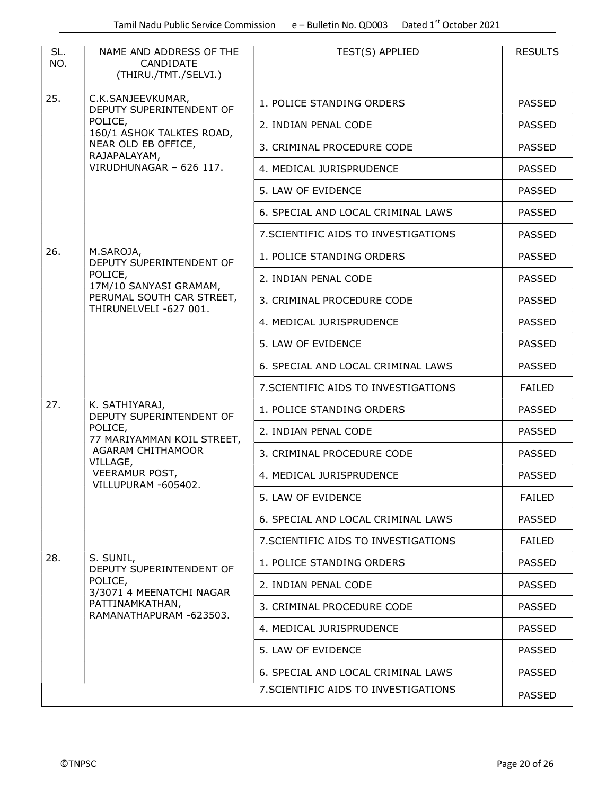| SL.<br>NO.                            | NAME AND ADDRESS OF THE<br>CANDIDATE<br>(THIRU./TMT./SELVI.) | TEST(S) APPLIED                      | <b>RESULTS</b> |
|---------------------------------------|--------------------------------------------------------------|--------------------------------------|----------------|
| 25.                                   | C.K.SANJEEVKUMAR,<br>DEPUTY SUPERINTENDENT OF                | 1. POLICE STANDING ORDERS            | <b>PASSED</b>  |
|                                       | POLICE,<br>160/1 ASHOK TALKIES ROAD,                         | 2. INDIAN PENAL CODE                 | <b>PASSED</b>  |
|                                       | NEAR OLD EB OFFICE,<br>RAJAPALAYAM,                          | 3. CRIMINAL PROCEDURE CODE           | <b>PASSED</b>  |
|                                       | VIRUDHUNAGAR - 626 117.                                      | 4. MEDICAL JURISPRUDENCE             | <b>PASSED</b>  |
|                                       |                                                              | 5. LAW OF EVIDENCE                   | <b>PASSED</b>  |
|                                       |                                                              | 6. SPECIAL AND LOCAL CRIMINAL LAWS   | <b>PASSED</b>  |
|                                       |                                                              | 7. SCIENTIFIC AIDS TO INVESTIGATIONS | <b>PASSED</b>  |
| 26.                                   | M.SAROJA,<br>DEPUTY SUPERINTENDENT OF                        | 1. POLICE STANDING ORDERS            | <b>PASSED</b>  |
|                                       | POLICE,<br>17M/10 SANYASI GRAMAM,                            | 2. INDIAN PENAL CODE                 | <b>PASSED</b>  |
|                                       | PERUMAL SOUTH CAR STREET,<br>THIRUNELVELI -627 001.          | 3. CRIMINAL PROCEDURE CODE           | <b>PASSED</b>  |
|                                       |                                                              | 4. MEDICAL JURISPRUDENCE             | <b>PASSED</b>  |
|                                       |                                                              | 5. LAW OF EVIDENCE                   | <b>PASSED</b>  |
|                                       |                                                              | 6. SPECIAL AND LOCAL CRIMINAL LAWS   | <b>PASSED</b>  |
|                                       |                                                              | 7. SCIENTIFIC AIDS TO INVESTIGATIONS | <b>FAILED</b>  |
| 27.                                   | K. SATHIYARAJ,<br>DEPUTY SUPERINTENDENT OF                   | 1. POLICE STANDING ORDERS            | <b>PASSED</b>  |
| POLICE,<br>77 MARIYAMMAN KOIL STREET, | 2. INDIAN PENAL CODE                                         | <b>PASSED</b>                        |                |
|                                       | AGARAM CHITHAMOOR<br>VILLAGE,                                | 3. CRIMINAL PROCEDURE CODE           | <b>PASSED</b>  |
|                                       | <b>VEERAMUR POST,</b><br>VILLUPURAM -605402.                 | 4. MEDICAL JURISPRUDENCE             | <b>PASSED</b>  |
|                                       |                                                              | 5. LAW OF EVIDENCE                   | <b>FAILED</b>  |
|                                       |                                                              | 6. SPECIAL AND LOCAL CRIMINAL LAWS   | <b>PASSED</b>  |
|                                       |                                                              | 7. SCIENTIFIC AIDS TO INVESTIGATIONS | <b>FAILED</b>  |
| 28.                                   | S. SUNIL,<br>DEPUTY SUPERINTENDENT OF                        | 1. POLICE STANDING ORDERS            | <b>PASSED</b>  |
|                                       | POLICE,<br>3/3071 4 MEENATCHI NAGAR                          | 2. INDIAN PENAL CODE                 | <b>PASSED</b>  |
|                                       | PATTINAMKATHAN,<br>RAMANATHAPURAM -623503.                   | 3. CRIMINAL PROCEDURE CODE           | <b>PASSED</b>  |
|                                       |                                                              | 4. MEDICAL JURISPRUDENCE             | <b>PASSED</b>  |
|                                       |                                                              | 5. LAW OF EVIDENCE                   | <b>PASSED</b>  |
|                                       |                                                              | 6. SPECIAL AND LOCAL CRIMINAL LAWS   | <b>PASSED</b>  |
|                                       |                                                              | 7. SCIENTIFIC AIDS TO INVESTIGATIONS | <b>PASSED</b>  |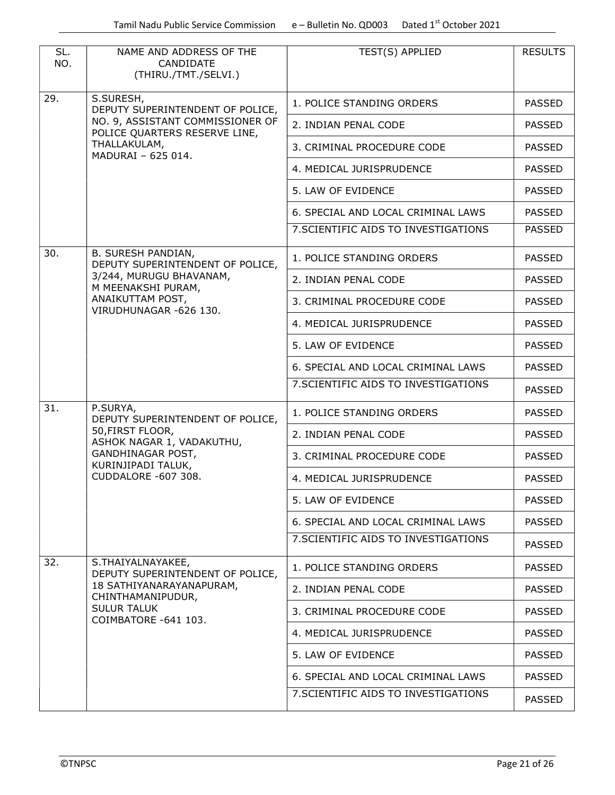| SL.<br>NO. | NAME AND ADDRESS OF THE<br>CANDIDATE<br>(THIRU./TMT./SELVI.)                                                       | TEST(S) APPLIED                      | <b>RESULTS</b> |
|------------|--------------------------------------------------------------------------------------------------------------------|--------------------------------------|----------------|
| 29.        | S.SURESH,<br>DEPUTY SUPERINTENDENT OF POLICE,<br>NO. 9, ASSISTANT COMMISSIONER OF<br>POLICE QUARTERS RESERVE LINE, | 1. POLICE STANDING ORDERS            | <b>PASSED</b>  |
|            |                                                                                                                    | 2. INDIAN PENAL CODE                 | <b>PASSED</b>  |
|            | THALLAKULAM,<br>MADURAI - 625 014.                                                                                 | 3. CRIMINAL PROCEDURE CODE           | <b>PASSED</b>  |
|            |                                                                                                                    | 4. MEDICAL JURISPRUDENCE             | <b>PASSED</b>  |
|            |                                                                                                                    | 5. LAW OF EVIDENCE                   | <b>PASSED</b>  |
|            |                                                                                                                    | 6. SPECIAL AND LOCAL CRIMINAL LAWS   | <b>PASSED</b>  |
|            |                                                                                                                    | 7. SCIENTIFIC AIDS TO INVESTIGATIONS | <b>PASSED</b>  |
| 30.        | <b>B. SURESH PANDIAN,</b><br>DEPUTY SUPERINTENDENT OF POLICE,                                                      | 1. POLICE STANDING ORDERS            | <b>PASSED</b>  |
|            | 3/244, MURUGU BHAVANAM,<br>M MEENAKSHI PURAM,                                                                      | 2. INDIAN PENAL CODE                 | <b>PASSED</b>  |
|            | ANAIKUTTAM POST,<br>VIRUDHUNAGAR -626 130.                                                                         | 3. CRIMINAL PROCEDURE CODE           | <b>PASSED</b>  |
|            |                                                                                                                    | 4. MEDICAL JURISPRUDENCE             | <b>PASSED</b>  |
|            |                                                                                                                    | 5. LAW OF EVIDENCE                   | <b>PASSED</b>  |
|            |                                                                                                                    | 6. SPECIAL AND LOCAL CRIMINAL LAWS   | <b>PASSED</b>  |
|            |                                                                                                                    | 7. SCIENTIFIC AIDS TO INVESTIGATIONS | <b>PASSED</b>  |
| 31.        | P.SURYA,<br>DEPUTY SUPERINTENDENT OF POLICE,                                                                       | 1. POLICE STANDING ORDERS            | <b>PASSED</b>  |
|            | 50, FIRST FLOOR,<br>ASHOK NAGAR 1, VADAKUTHU,<br>GANDHINAGAR POST,<br>KURINJIPADI TALUK,<br>CUDDALORE -607 308.    | 2. INDIAN PENAL CODE                 | <b>PASSED</b>  |
|            |                                                                                                                    | 3. CRIMINAL PROCEDURE CODE           | <b>PASSED</b>  |
|            |                                                                                                                    | 4. MEDICAL JURISPRUDENCE             | <b>PASSED</b>  |
|            |                                                                                                                    | 5. LAW OF EVIDENCE                   | <b>PASSED</b>  |
|            |                                                                                                                    | 6. SPECIAL AND LOCAL CRIMINAL LAWS   | <b>PASSED</b>  |
|            |                                                                                                                    | 7. SCIENTIFIC AIDS TO INVESTIGATIONS | <b>PASSED</b>  |
| 32.        | S.THAIYALNAYAKEE,<br>DEPUTY SUPERINTENDENT OF POLICE,                                                              | 1. POLICE STANDING ORDERS            | <b>PASSED</b>  |
|            | 18 SATHIYANARAYANAPURAM,<br>CHINTHAMANIPUDUR,                                                                      | 2. INDIAN PENAL CODE                 | <b>PASSED</b>  |
|            | <b>SULUR TALUK</b><br>COIMBATORE -641 103.                                                                         | 3. CRIMINAL PROCEDURE CODE           | <b>PASSED</b>  |
|            |                                                                                                                    | 4. MEDICAL JURISPRUDENCE             | <b>PASSED</b>  |
|            |                                                                                                                    | 5. LAW OF EVIDENCE                   | <b>PASSED</b>  |
|            |                                                                                                                    | 6. SPECIAL AND LOCAL CRIMINAL LAWS   | <b>PASSED</b>  |
|            |                                                                                                                    | 7. SCIENTIFIC AIDS TO INVESTIGATIONS | <b>PASSED</b>  |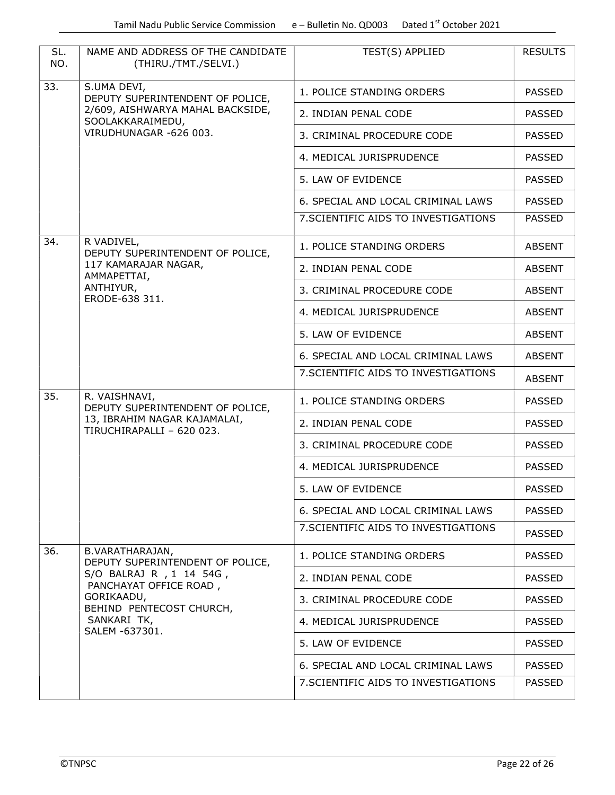| SL.<br>NO. | NAME AND ADDRESS OF THE CANDIDATE<br>(THIRU./TMT./SELVI.)                                               | TEST(S) APPLIED                      | <b>RESULTS</b> |
|------------|---------------------------------------------------------------------------------------------------------|--------------------------------------|----------------|
| 33.        | S.UMA DEVI,<br>DEPUTY SUPERINTENDENT OF POLICE,<br>2/609, AISHWARYA MAHAL BACKSIDE,<br>SOOLAKKARAIMEDU, | 1. POLICE STANDING ORDERS            | <b>PASSED</b>  |
|            |                                                                                                         | 2. INDIAN PENAL CODE                 | <b>PASSED</b>  |
|            | VIRUDHUNAGAR -626 003.                                                                                  | 3. CRIMINAL PROCEDURE CODE           | <b>PASSED</b>  |
|            |                                                                                                         | 4. MEDICAL JURISPRUDENCE             | <b>PASSED</b>  |
|            |                                                                                                         | 5. LAW OF EVIDENCE                   | <b>PASSED</b>  |
|            |                                                                                                         | 6. SPECIAL AND LOCAL CRIMINAL LAWS   | <b>PASSED</b>  |
|            |                                                                                                         | 7. SCIENTIFIC AIDS TO INVESTIGATIONS | <b>PASSED</b>  |
| 34.        | R VADIVEL,<br>DEPUTY SUPERINTENDENT OF POLICE,                                                          | 1. POLICE STANDING ORDERS            | <b>ABSENT</b>  |
|            | 117 KAMARAJAR NAGAR,<br>AMMAPETTAI,                                                                     | 2. INDIAN PENAL CODE                 | <b>ABSENT</b>  |
|            | ANTHIYUR,<br>ERODE-638 311.                                                                             | 3. CRIMINAL PROCEDURE CODE           | <b>ABSENT</b>  |
|            |                                                                                                         | 4. MEDICAL JURISPRUDENCE             | <b>ABSENT</b>  |
|            |                                                                                                         | 5. LAW OF EVIDENCE                   | <b>ABSENT</b>  |
|            |                                                                                                         | 6. SPECIAL AND LOCAL CRIMINAL LAWS   | <b>ABSENT</b>  |
|            |                                                                                                         | 7. SCIENTIFIC AIDS TO INVESTIGATIONS | <b>ABSENT</b>  |
| 35.        | R. VAISHNAVI,<br>DEPUTY SUPERINTENDENT OF POLICE,                                                       | 1. POLICE STANDING ORDERS            | <b>PASSED</b>  |
|            | 13, IBRAHIM NAGAR KAJAMALAI,<br>TIRUCHIRAPALLI - 620 023.                                               | 2. INDIAN PENAL CODE                 | <b>PASSED</b>  |
|            |                                                                                                         | 3. CRIMINAL PROCEDURE CODE           | <b>PASSED</b>  |
|            |                                                                                                         | 4. MEDICAL JURISPRUDENCE             | <b>PASSED</b>  |
|            |                                                                                                         | 5. LAW OF EVIDENCE                   | <b>PASSED</b>  |
|            |                                                                                                         | 6. SPECIAL AND LOCAL CRIMINAL LAWS   | <b>PASSED</b>  |
|            |                                                                                                         | 7. SCIENTIFIC AIDS TO INVESTIGATIONS | <b>PASSED</b>  |
| 36.        | B.VARATHARAJAN,<br>DEPUTY SUPERINTENDENT OF POLICE,                                                     | 1. POLICE STANDING ORDERS            | <b>PASSED</b>  |
|            | S/O BALRAJ R , 1 14 54G,<br>PANCHAYAT OFFICE ROAD,                                                      | 2. INDIAN PENAL CODE                 | <b>PASSED</b>  |
|            | GORIKAADU,<br>BEHIND PENTECOST CHURCH,                                                                  | 3. CRIMINAL PROCEDURE CODE           | <b>PASSED</b>  |
|            | SANKARI TK,<br>SALEM -637301.                                                                           | 4. MEDICAL JURISPRUDENCE             | <b>PASSED</b>  |
|            |                                                                                                         | 5. LAW OF EVIDENCE                   | <b>PASSED</b>  |
|            |                                                                                                         | 6. SPECIAL AND LOCAL CRIMINAL LAWS   | <b>PASSED</b>  |
|            |                                                                                                         | 7. SCIENTIFIC AIDS TO INVESTIGATIONS | <b>PASSED</b>  |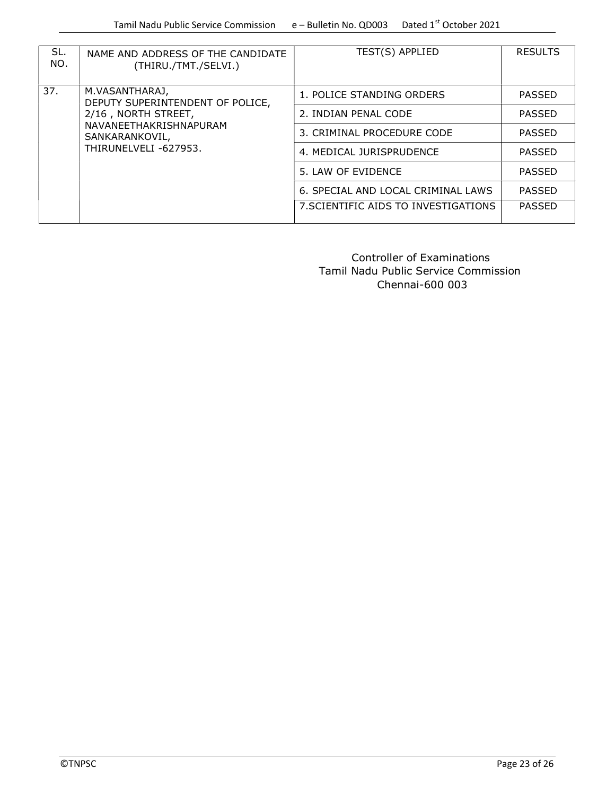| SL.<br>NO.                                                                                                                                            | NAME AND ADDRESS OF THE CANDIDATE<br>(THIRU./TMT./SELVI.) | TEST(S) APPLIED                      | <b>RESULTS</b> |
|-------------------------------------------------------------------------------------------------------------------------------------------------------|-----------------------------------------------------------|--------------------------------------|----------------|
| 37.<br>M.VASANTHARAJ,<br>DEPUTY SUPERINTENDENT OF POLICE,<br>2/16, NORTH STREET,<br>NAVANEETHAKRISHNAPURAM<br>SANKARANKOVIL,<br>THIRUNELVELI -627953. |                                                           | 1. POLICE STANDING ORDERS            | <b>PASSED</b>  |
|                                                                                                                                                       | 2. INDIAN PENAL CODE                                      | <b>PASSED</b>                        |                |
|                                                                                                                                                       | 3. CRIMINAL PROCEDURE CODE                                | <b>PASSED</b>                        |                |
|                                                                                                                                                       | 4. MEDICAL JURISPRUDENCE                                  | <b>PASSED</b>                        |                |
|                                                                                                                                                       | 5. LAW OF EVIDENCE                                        | <b>PASSED</b>                        |                |
|                                                                                                                                                       |                                                           | 6. SPECIAL AND LOCAL CRIMINAL LAWS   | <b>PASSED</b>  |
|                                                                                                                                                       |                                                           | 7. SCIENTIFIC AIDS TO INVESTIGATIONS | <b>PASSED</b>  |

 Controller of Examinations Tamil Nadu Public Service Commission Chennai-600 003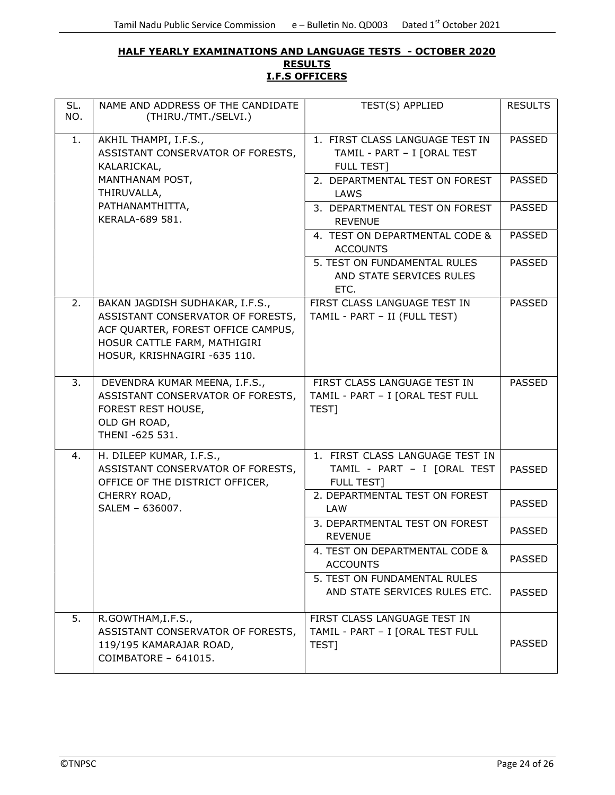#### HALF YEARLY EXAMINATIONS AND LANGUAGE TESTS - OCTOBER 2020 **RESULTS** I.F.S OFFICERS

| SL.<br>NO. | NAME AND ADDRESS OF THE CANDIDATE<br>(THIRU./TMT./SELVI.)                                                                                                                  | TEST(S) APPLIED                                                                     | <b>RESULTS</b> |
|------------|----------------------------------------------------------------------------------------------------------------------------------------------------------------------------|-------------------------------------------------------------------------------------|----------------|
| 1.         | AKHIL THAMPI, I.F.S.,<br>ASSISTANT CONSERVATOR OF FORESTS,<br>KALARICKAL,                                                                                                  | 1. FIRST CLASS LANGUAGE TEST IN<br>TAMIL - PART - I [ORAL TEST<br><b>FULL TEST]</b> | <b>PASSED</b>  |
|            | MANTHANAM POST,<br>THIRUVALLA,                                                                                                                                             | 2. DEPARTMENTAL TEST ON FOREST<br>LAWS                                              | <b>PASSED</b>  |
|            | PATHANAMTHITTA,<br>KERALA-689 581.                                                                                                                                         | 3. DEPARTMENTAL TEST ON FOREST<br><b>REVENUE</b>                                    | <b>PASSED</b>  |
|            |                                                                                                                                                                            | 4. TEST ON DEPARTMENTAL CODE &<br><b>ACCOUNTS</b>                                   | <b>PASSED</b>  |
|            |                                                                                                                                                                            | 5. TEST ON FUNDAMENTAL RULES<br>AND STATE SERVICES RULES<br>ETC.                    | <b>PASSED</b>  |
| 2.         | BAKAN JAGDISH SUDHAKAR, I.F.S.,<br>ASSISTANT CONSERVATOR OF FORESTS,<br>ACF QUARTER, FOREST OFFICE CAMPUS,<br>HOSUR CATTLE FARM, MATHIGIRI<br>HOSUR, KRISHNAGIRI -635 110. | FIRST CLASS LANGUAGE TEST IN<br>TAMIL - PART - II (FULL TEST)                       | <b>PASSED</b>  |
| 3.         | DEVENDRA KUMAR MEENA, I.F.S.,<br>ASSISTANT CONSERVATOR OF FORESTS,<br>FOREST REST HOUSE,<br>OLD GH ROAD,<br>THENI -625 531.                                                | FIRST CLASS LANGUAGE TEST IN<br>TAMIL - PART - I [ORAL TEST FULL<br>TEST]           | <b>PASSED</b>  |
| 4.         | H. DILEEP KUMAR, I.F.S.,<br>ASSISTANT CONSERVATOR OF FORESTS,<br>OFFICE OF THE DISTRICT OFFICER,                                                                           | 1. FIRST CLASS LANGUAGE TEST IN<br>TAMIL - PART - I [ORAL TEST<br><b>FULL TEST]</b> | <b>PASSED</b>  |
|            | CHERRY ROAD,<br>SALEM - 636007.                                                                                                                                            | 2. DEPARTMENTAL TEST ON FOREST<br><b>LAW</b>                                        | <b>PASSED</b>  |
|            |                                                                                                                                                                            | 3. DEPARTMENTAL TEST ON FOREST<br><b>REVENUE</b>                                    | <b>PASSED</b>  |
|            |                                                                                                                                                                            | 4. TEST ON DEPARTMENTAL CODE &<br><b>ACCOUNTS</b>                                   | <b>PASSED</b>  |
|            |                                                                                                                                                                            | 5. TEST ON FUNDAMENTAL RULES<br>AND STATE SERVICES RULES ETC.                       | <b>PASSED</b>  |
| 5.         | R.GOWTHAM, I.F.S.,<br>ASSISTANT CONSERVATOR OF FORESTS,<br>119/195 KAMARAJAR ROAD,<br>COIMBATORE - 641015.                                                                 | FIRST CLASS LANGUAGE TEST IN<br>TAMIL - PART - I [ORAL TEST FULL<br>TEST]           | <b>PASSED</b>  |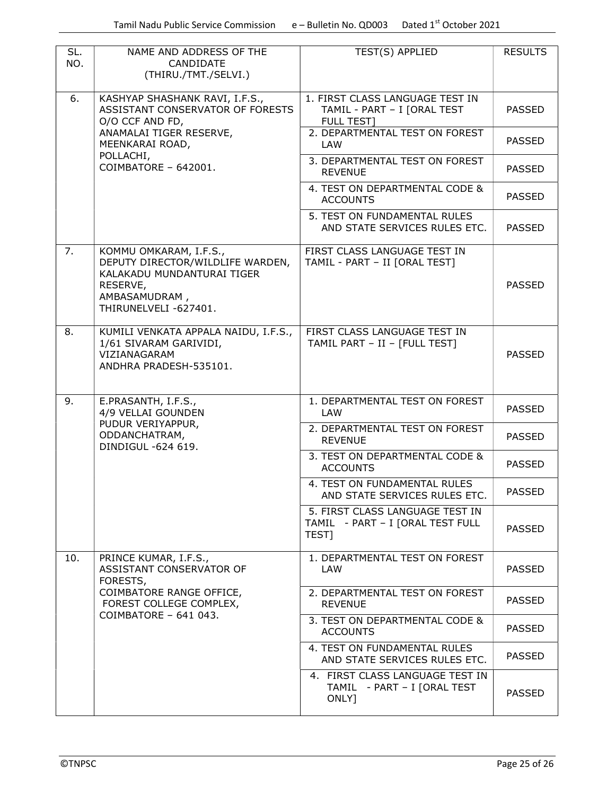| SL.<br>NO. | NAME AND ADDRESS OF THE<br>CANDIDATE<br>(THIRU./TMT./SELVI.)                                                                                   | TEST(S) APPLIED                                                                     | <b>RESULTS</b> |
|------------|------------------------------------------------------------------------------------------------------------------------------------------------|-------------------------------------------------------------------------------------|----------------|
| 6.         | KASHYAP SHASHANK RAVI, I.F.S.,<br>ASSISTANT CONSERVATOR OF FORESTS<br>O/O CCF AND FD,                                                          | 1. FIRST CLASS LANGUAGE TEST IN<br>TAMIL - PART - I [ORAL TEST<br><b>FULL TEST]</b> | <b>PASSED</b>  |
|            | ANAMALAI TIGER RESERVE,<br>MEENKARAI ROAD,                                                                                                     | 2. DEPARTMENTAL TEST ON FOREST<br>LAW                                               | <b>PASSED</b>  |
|            | POLLACHI,<br>COIMBATORE - 642001.                                                                                                              | 3. DEPARTMENTAL TEST ON FOREST<br><b>REVENUE</b>                                    | <b>PASSED</b>  |
|            |                                                                                                                                                | 4. TEST ON DEPARTMENTAL CODE &<br><b>ACCOUNTS</b>                                   | <b>PASSED</b>  |
|            |                                                                                                                                                | 5. TEST ON FUNDAMENTAL RULES<br>AND STATE SERVICES RULES ETC.                       | <b>PASSED</b>  |
| 7.         | KOMMU OMKARAM, I.F.S.,<br>DEPUTY DIRECTOR/WILDLIFE WARDEN,<br>KALAKADU MUNDANTURAI TIGER<br>RESERVE,<br>AMBASAMUDRAM,<br>THIRUNELVELI -627401. | FIRST CLASS LANGUAGE TEST IN<br>TAMIL - PART - II [ORAL TEST]                       | <b>PASSED</b>  |
| 8.         | KUMILI VENKATA APPALA NAIDU, I.F.S.,<br>1/61 SIVARAM GARIVIDI,<br>VIZIANAGARAM<br>ANDHRA PRADESH-535101.                                       | FIRST CLASS LANGUAGE TEST IN<br>TAMIL PART - II - [FULL TEST]                       | <b>PASSED</b>  |
| 9.         | E.PRASANTH, I.F.S.,<br>4/9 VELLAI GOUNDEN                                                                                                      | 1. DEPARTMENTAL TEST ON FOREST<br>LAW                                               | <b>PASSED</b>  |
|            | PUDUR VERIYAPPUR,<br>ODDANCHATRAM,<br>DINDIGUL -624 619.                                                                                       | 2. DEPARTMENTAL TEST ON FOREST<br><b>REVENUE</b>                                    | <b>PASSED</b>  |
|            |                                                                                                                                                | 3. TEST ON DEPARTMENTAL CODE &<br><b>ACCOUNTS</b>                                   | <b>PASSED</b>  |
|            |                                                                                                                                                | 4. TEST ON FUNDAMENTAL RULES<br>AND STATE SERVICES RULES ETC.                       | <b>PASSED</b>  |
|            |                                                                                                                                                | 5. FIRST CLASS LANGUAGE TEST IN<br>TAMIL - PART - I [ORAL TEST FULL<br>TEST]        | <b>PASSED</b>  |
| 10.        | PRINCE KUMAR, I.F.S.,<br>ASSISTANT CONSERVATOR OF<br>FORESTS,                                                                                  | 1. DEPARTMENTAL TEST ON FOREST<br>LAW                                               | <b>PASSED</b>  |
|            | COIMBATORE RANGE OFFICE,<br>FOREST COLLEGE COMPLEX,<br>COIMBATORE - 641 043.                                                                   | 2. DEPARTMENTAL TEST ON FOREST<br><b>REVENUE</b>                                    | <b>PASSED</b>  |
|            |                                                                                                                                                | 3. TEST ON DEPARTMENTAL CODE &<br><b>ACCOUNTS</b>                                   | <b>PASSED</b>  |
|            |                                                                                                                                                | 4. TEST ON FUNDAMENTAL RULES<br>AND STATE SERVICES RULES ETC.                       | <b>PASSED</b>  |
|            |                                                                                                                                                | 4. FIRST CLASS LANGUAGE TEST IN<br>TAMIL - PART - I [ORAL TEST<br>ONLY]             | <b>PASSED</b>  |